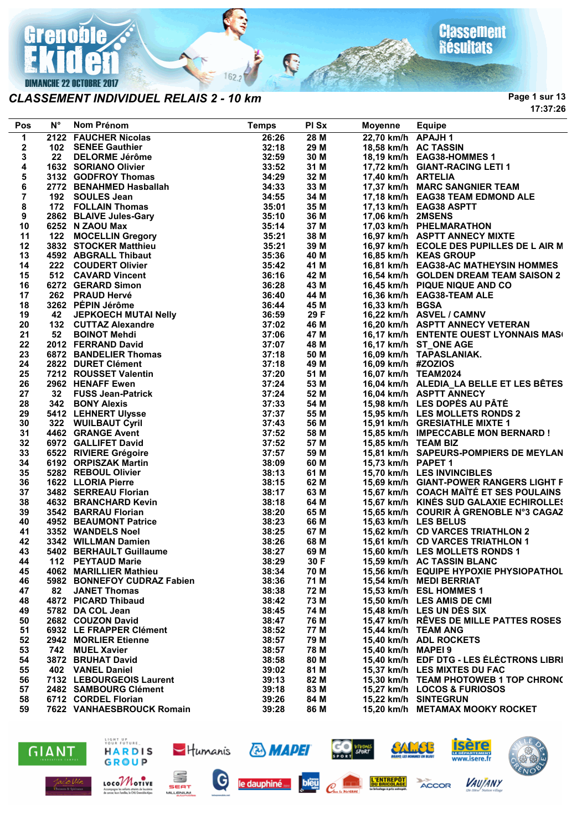

### **DIMANCHE 22 OCTOBRE 2017**

### *CLASSEMENT INDIVIDUEL RELAIS 2 - 10 km*

**Classement**<br>Résultats

**Page 1 sur 13 17:37:26**

| Pos            | $N^{\circ}$ | Nom Prénom                                                      | <b>Temps</b> | PI Sx | Moyenne             | <b>Equipe</b>                            |
|----------------|-------------|-----------------------------------------------------------------|--------------|-------|---------------------|------------------------------------------|
| 1              |             | 2122 FAUCHER Nicolas                                            | 26:26        | 28M   | 22,70 km/h APAJH 1  |                                          |
| 2              |             | 102 SENEE Gauthier                                              | 32:18        | 29 M  |                     | 18,58 km/h AC TASSIN                     |
| 3              |             | 22 DELORME Jérôme                                               | 32:59        | 30 M  |                     | 18,19 km/h EAG38-HOMMES 1                |
| 4              |             | 1632 SORIANO Olivier                                            | 33:52        | 31 M  |                     | 17,72 km/h GIANT-RACING LETI 1           |
| 5              |             | ے کہا ایک ایک ہے۔<br>2772 BENAHMED Hasballah<br>192 SOULES Jean | 34:29        | 32 M  | 17,40 km/h ARTELIA  |                                          |
| 6              |             |                                                                 | 34:33        | 33 M  |                     | 17,37 km/h MARC SANGNIER TEAM            |
| $\overline{7}$ |             |                                                                 | 34:55        | 34 M  |                     | 17,18 km/h EAG38 TEAM EDMOND ALE         |
| 8              |             | 172 FOLLAIN Thomas                                              | 35:01        | 35 M  |                     | 17,13 km/h EAG38 ASPTT                   |
| 9              |             | 2862 BLAIVE Jules-Gary                                          | 35:10        | 36 M  | 17,06 km/h 2MSENS   |                                          |
| 10             |             | 6252 N ZAOU Max                                                 | 35:14        | 37 M  |                     | 17,03 km/h PHELMARATHON                  |
| 11             |             | 122 MOCELLIN Gregory                                            | 35:21        | 38 M  |                     | 16,97 km/h ASPTT ANNECY MIXTE            |
| 12             |             | 3832 STOCKER Matthieu                                           | 35:21        | 39 M  |                     | 16,97 km/h ECOLE DES PUPILLES DE L AIR M |
| 13             |             | 4592 ABGRALL Thibaut                                            | 35:36        | 40 M  |                     | 16,85 km/h KEAS GROUP                    |
| 14             |             | 222 COUDERT Olivier                                             | 35:42        | 41 M  |                     | 16,81 km/h EAG38-AC MATHEYSIN HOMMES     |
| 15             |             | 512 CAVARD Vincent                                              | 36:16        | 42 M  |                     | 16,54 km/h GOLDEN DREAM TEAM SAISON 2    |
| 16             |             | 6272 GERARD Simon                                               | 36:28        | 43 M  |                     | 16,45 km/h PIQUE NIQUE AND CO            |
| 17             |             | 262 PRAUD Hervé                                                 | 36:40        | 44 M  |                     | 16,36 km/h EAG38-TEAM ALE                |
| 18             |             | 3262 PEPIN Jérôme                                               | 36:44        | 45 M  | 16,33 km/h BGSA     |                                          |
| 19             | 42          | JEPKOECH MUTAI Nelly                                            | 36:59        | 29 F  |                     | 16,22 km/h ASVEL / CAMNV                 |
| 20             |             | 132 CUTTAZ Alexandre                                            | 37:02        | 46 M  |                     | 16,20 km/h ASPTT ANNECY VETERAN          |
| 21             |             | 52 BOINOT Mehdi                                                 | 37:06        | 47 M  |                     | 16,17 km/h ENTENTE OUEST LYONNAIS MAS(   |
| 22             |             | 2012 FERRAND David                                              | 37:07        | 48 M  |                     | 16,17 km/h ST_ONE AGE                    |
| 23             |             | <b>6872 BANDELIER Thomas</b>                                    | 37:18        | 50 M  |                     | 16,09 km/h TAPASLANIAK.                  |
| 24             |             | 2822 DURET Clément                                              | 37:18        | 49 M  | 16,09 km/h #ZOZIOS  |                                          |
| 25             |             | 7212 ROUSSET Valentin                                           | 37:20        | 51 M  | 16,07 km/h TEAM2024 |                                          |
| 26             |             | 2962 HENAFF Ewen                                                | 37:24        | 53 M  |                     | 16,04 km/h ALEDIA LA BELLE ET LES BÊTES  |
| 27             |             | 32 FUSS Jean-Patrick                                            | 37:24        | 52 M  |                     | 16,04 km/h ASPTT ANNECY                  |
| 28             |             | 342 BONY Alexis                                                 | 37:33        | 54 M  |                     | 15,98 km/h LES DOPÉS AU PÂTÉ             |
| 29             |             | 5412 LEHNERT Ulysse                                             | 37:37        | 55 M  |                     | 15,95 km/h LES MOLLETS RONDS 2           |
| 30             |             | 322 WUILBAUT Cyril                                              | 37:43        | 56 M  |                     | 15,91 km/h GRESIATHLE MIXTE 1            |
| 31             |             | 4462 GRANGE Avent                                               | 37:52        | 58 M  |                     | 15,85 km/h IMPECCABLE MON BERNARD !      |
| 32             |             | 6972 GALLIFET David                                             | 37:52        | 57 M  | 15,85 km/h TEAM BIZ |                                          |
| 33             |             | 6522 RIVIERE Grégoire                                           | 37:57        | 59 M  |                     | 15,81 km/h SAPEURS-POMPIERS DE MEYLAN    |
| 34             |             | 6192 ORPISZAK Martin                                            | 38:09        | 60 M  | 15,73 km/h PAPET 1  |                                          |
| 35             |             | 5282 REBOUL Olivier                                             | 38:13        | 61 M  |                     | 15,70 km/h LES INVINCIBLES               |
| 36             |             | 1622 LLORIA Pierre                                              | 38:15        | 62 M  |                     | 15,69 km/h GIANT-POWER RANGERS LIGHT F   |
| 37             |             | 3482 SERREAU Florian                                            | 38:17        | 63 M  |                     | 15,67 km/h COACH MAÏTÉ ET SES POULAINS   |
| 38             |             | 4632 BRANCHARD Kevin                                            | 38:18        | 64 M  |                     | 15,67 km/h KINÉS SUD GALAXIE ECHIROLLES  |
| 39             |             | 3542 BARRAU Florian                                             | 38:20        | 65 M  |                     | 15,65 km/h COURIR A GRENOBLE N°3 CAGAZ   |
| 40             |             | 4952 BEAUMONT Patrice                                           | 38:23        | 66 M  |                     | 15,63 km/h LES BELUS                     |
| 41             |             | 3352 WANDELS Noel                                               | 38:25        | 67 M  |                     | 15,62 km/h CD VARCES TRIATHLON 2         |
| 42             |             | 3342 WILLMAN Damien                                             | 38:26        | 68 M  |                     | 15,61 km/h CD VARCES TRIATHLON 1         |
| 43             |             | 5402 BERHAULT Guillaume                                         | 38:27        | 69 M  |                     | 15,60 km/h LES MOLLETS RONDS 1           |
| 44             |             | 112 PEYTAUD Marie                                               | 38:29        | 30 F  |                     | 15,59 km/h AC TASSIN BLANC               |
| 45             |             | 4062 MARILLIER Mathieu                                          | 38:34        | 70 M  |                     | 15,56 km/h EQUIPE HYPOXIE PHYSIOPATHOL   |
| 46             |             | 5982 BONNEFOY CUDRAZ Fabien                                     | 38:36        | 71 M  |                     | 15.54 km/h MEDI BERRIAT                  |
| 47             | 82          | <b>JANET Thomas</b>                                             | 38:38        | 72 M  |                     | 15,53 km/h ESL HOMMES 1                  |
| 48             |             | 4872 PICARD Thibaud                                             | 38:42        | 73 M  |                     | 15,50 km/h LES AMIS DE CMI               |
| 49             |             | 5782 DA COL Jean                                                | 38:45        | 74 M  |                     | 15,48 km/h LES UN DES SIX                |
| 50             |             | 2682 COUZON David                                               | 38:47        | 76 M  |                     | 15,47 km/h RÊVES DE MILLE PATTES ROSES   |
| 51             |             | 6932 LE FRAPPER Clément                                         | 38:52        | 77 M  |                     | 15,44 km/h TEAM ANG                      |
| 52             |             | 2942 MORLIER Etienne                                            | 38:57        | 79 M  |                     | 15,40 km/h ADL ROCKETS                   |
| 53             |             | 742 MUEL Xavier                                                 | 38:57        | 78 M  | 15,40 km/h MAPEI 9  |                                          |
| 54             |             | 3872 BRUHAT David                                               | 38:58        | 80 M  |                     | 15,40 km/h EDF DTG - LES ÉLÉCTRONS LIBRI |
| 55             |             | 402 VANEL Daniel                                                | 39:02        | 81 M  |                     | 15,37 km/h LES MIXTES DU FAC             |
| 56             |             | 7132 LEBOURGEOIS Laurent                                        | 39:13        | 82 M  |                     | 15,30 km/h TEAM PHOTOWEB 1 TOP CHRON(    |
| 57             |             | 2482 SAMBOURG Clément                                           | 39:18        | 83 M  |                     | 15,27 km/h LOCOS & FURIOSOS              |
| 58             |             | 6712 CORDEL Florian                                             | 39:26        | 84 M  |                     | 15,22 km/h SINTEGRUN                     |
| 59             |             | 7622 VANHAESBROUCK Romain                                       | 39:28        | 86 M  |                     | 15,20 km/h METAMAX MOOKY ROCKET          |

P

 $162:$ 





SEAT

MILLENIUM

LOCOMOTIVE

Accompagne les solants atteints<br>de concer leurs fomilier, le CHUC



**& MAPEI** 





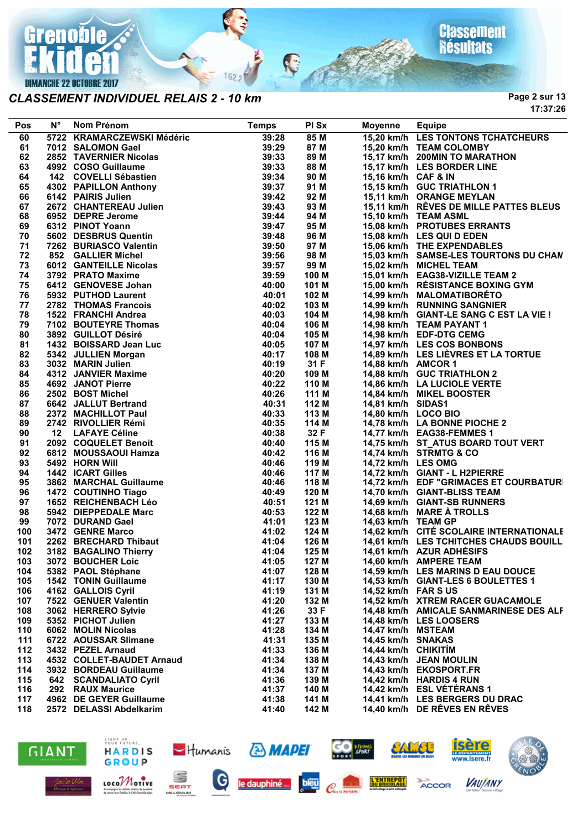

#### *CLASSEMENT INDIVIDUEL RELAIS 2 - 10 km*

**Page 2 sur 13 17:37:26**

| Pos | <b>N°</b> | Nom Prénom                 | <b>Temps</b> | PI Sx | Moyenne             | <b>Equipe</b>                           |
|-----|-----------|----------------------------|--------------|-------|---------------------|-----------------------------------------|
| 60  |           | 5722 KRAMARCZEWSKI Médéric | 39:28        | 85M   |                     | 15,20 km/h LES TONTONS TCHATCHEURS      |
| 61  |           | 7012 SALOMON Gael          | 39:29        | 87 M  |                     | 15,20 km/h TEAM COLOMBY                 |
| 62  |           | 2852 TAVERNIER Nicolas     | 39:33        | 89 M  |                     | 15,17 km/h 200MIN TO MARATHON           |
| 63  |           | 4992 COSO Guillaume        | 39:33        | 88 M  |                     | 15,17 km/h LES BORDER LINE              |
| 64  |           | 142 COVELLI Sébastien      | 39:34        | 90 M  | 15,16 km/h CAF & IN |                                         |
| 65  |           | 4302 PAPILLON Anthony      | 39:37        | 91 M  |                     | 15,15 km/h GUC TRIATHLON 1              |
| 66  |           | 6142 PAIRIS Julien         | 39:42        | 92 M  |                     | 15,11 km/h ORANGE MEYLAN                |
| 67  |           | 2672 CHANTEREAU Julien     | 39:43        | 93 M  |                     | 15,11 km/h RÊVES DE MILLE PATTES BLEUS  |
|     |           |                            |              |       |                     |                                         |
| 68  |           | 6952 DEPRE Jerome          | 39:44        | 94 M  |                     | 15,10 km/h TEAM ASML                    |
| 69  |           | 6312 PINOT Yoann           | 39:47        | 95 M  |                     | 15,08 km/h PROTUBES ERRANTS             |
| 70  |           | 5602 DESBRUS Quentin       | 39:48        | 96 M  |                     | 15,08 km/h LES QUI D EDEN               |
| 71  |           | 7262 BURIASCO Valentin     | 39:50        | 97 M  |                     | 15,06 km/h THE EXPENDABLES              |
| 72  |           | 852 GALLIER Michel         | 39:56        | 98 M  |                     | 15,03 km/h SAMSE-LES TOURTONS DU CHAN   |
| 73  |           | 6012 GANTEILLE Nicolas     | 39:57        | 99 M  |                     | 15,02 km/h MICHEL TEAM                  |
| 74  |           | 3792 PRATO Maxime          | 39:59        | 100 M |                     | 15,01 km/h EAG38-VIZILLE TEAM 2         |
| 75  |           | 6412 GENOVESE Johan        | 40:00        | 101 M |                     | 15,00 km/h RÉSISTANCE BOXING GYM        |
| 76  |           | 5932 PUTHOD Laurent        | 40:01        | 102 M |                     | 14,99 km/h MALOMATIBORÉTO               |
| 77  |           | 2782 THOMAS Francois       | 40:02        | 103 M |                     | 14,99 km/h RUNNING SANGNIER             |
| 78  |           | 1522 FRANCHI Andrea        | 40:03        | 104 M |                     | 14,98 km/h GIANT-LE SANG C EST LA VIE ! |
| 79  |           | 7102 BOUTEYRE Thomas       | 40:04        | 106 M |                     | 14,98 km/h TEAM PAYANT 1                |
| 80  |           | 3892 GUILLOT Désiré        | 40:04        | 105 M |                     | 14,98 km/h EDF-DTG CEMG                 |
| 81  |           | 1432 BOISSARD Jean Luc     | 40:05        | 107 M |                     | 14,97 km/h LES COS BONBONS              |
| 82  |           | 5342 JULLIEN Morgan        | 40:17        | 108 M |                     | 14,89 km/h LES LIÈVRES ET LA TORTUE     |
| 83  |           | 3032 MARIN Julien          | 40:19        | 31 F  | 14,88 km/h AMCOR 1  |                                         |
| 84  |           | 4312 JANVIER Maxime        | 40:20        | 109 M |                     | 14,88 km/h GUC TRIATHLON 2              |
| 85  |           | 4692 JANOT Pierre          | 40:22        | 110 M |                     | 14,86 km/h LA LUCIOLE VERTE             |
| 86  |           | 2502 BOST Michel           | 40:26        | 111 M |                     | 14,84 km/h MIKEL BOOSTER                |
| 87  |           | 6642 JALLUT Bertrand       | 40:31        | 112 M | 14,81 km/h SIDAS1   |                                         |
| 88  |           | 2372 MACHILLOT Paul        | 40:33        | 113 M | 14,80 km/h LOCO BIO |                                         |
| 89  |           | 2742 RIVOLLIER Rémi        | 40:35        | 114 M |                     | 14,78 km/h LA BONNE PIOCHE 2            |
| 90  |           | 12 LAFAYE Céline           | 40:38        | 32 F  |                     | 14,77 km/h EAG38-FEMMES 1               |
| 91  |           | 2092 COQUELET Benoit       | 40:40        | 115 M |                     | 14,75 km/h ST_ATUS BOARD TOUT VERT      |
| 92  |           | 6812 MOUSSAOUI Hamza       | 40:42        | 116 M |                     | 14,74 km/h STRMTG & CO                  |
| 93  |           | 5492 HORN Will             | 40:46        | 119 M | 14,72 km/h LES OMG  |                                         |
| 94  |           | 1442 ICART Gilles          | 40:46        | 117 M |                     | 14,72 km/h GIANT - L H2PIERRE           |
| 95  |           | 3862 MARCHAL Guillaume     | 40:46        | 118 M |                     | 14,72 km/h EDF "GRIMACES ET COURBATURI  |
|     |           |                            |              |       |                     |                                         |
| 96  |           | 1472 COUTINHO Tiago        | 40:49        | 120 M |                     | 14,70 km/h GIANT-BLISS TEAM             |
| 97  |           | 1652 REICHENBACH Léo       | 40:51        | 121 M |                     | 14,69 km/h GIANT-SB RUNNERS             |
| 98  |           | 5942 DIEPPEDALE Marc       | 40:53        | 122 M |                     | 14,68 km/h MARE À TROLLS                |
| 99  |           | 7072 DURAND Gael           | 41:01        | 123 M | 14,63 km/h TEAM GP  |                                         |
| 100 |           | 3472 GENRE Marco           | 41:02        | 124 M |                     | 14,62 km/h CITÉ SCOLAIRE INTERNATIONALE |
| 101 |           | 2262 BRECHARD Thibaut      | 41:04        | 126 M |                     | 14,61 km/h LES TCHITCHES CHAUDS BOUILL  |
| 102 |           | 3182 BAGALINO Thierry      | 41:04        | 125 M |                     | 14,61 km/h AZUR ADHÉSIFS                |
| 103 |           | 3072 BOUCHER Loic<br>41:05 |              | 127 M |                     | 14,60 km/h AMPERE TEAM                  |
| 104 |           | 5382 PAOL Stéphane         | 41:07        | 128 M |                     | 14,59 km/h LES MARINS D EAU DOUCE       |
| 105 |           | 1542 TONIN Guillaume       | 41:17        | 130 M |                     | 14,53 km/h GIANT-LES 6 BOULETTES 1      |
| 106 |           | 4162 GALLOIS Cyril         | 41:19        | 131 M | 14,52 km/h FAR SUS  |                                         |
| 107 |           | 7522 GENUER Valentin       | 41:20        | 132 M |                     | 14,52 km/h XTREM RACER GUACAMOLE        |
| 108 |           | 3062 HERRERO Sylvie        | 41:26        | 33 F  |                     | 14,48 km/h AMICALE SANMARINESE DES ALF  |
| 109 |           | 5352 PICHOT Julien         | 41:27        | 133 M |                     | 14.48 km/h LES LOOSERS                  |
| 110 |           | 6062 MOLIN Nicolas         | 41:28        | 134 M | 14,47 km/h MSTEAM   |                                         |
| 111 |           | 6722 AOUSSAR Slimane       | 41:31        | 135 M | 14,45 km/h SNAKAS   |                                         |
| 112 |           | 3432 PEZEL Arnaud          | 41:33        | 136 M | 14,44 km/h CHIKITIM |                                         |
| 113 |           | 4532 COLLET-BAUDET Arnaud  | 41:34        | 138 M |                     | 14,43 km/h JEAN MOULIN                  |
| 114 |           | 3932 BORDEAU Guillaume     | 41:34        | 137 M |                     | 14,43 km/h EKOSPORT.FR                  |
| 115 |           | 642 SCANDALIATO Cyril      | 41:36        | 139 M |                     | 14,42 km/h HARDIS 4 RUN                 |
| 116 |           | 292 RAUX Maurice           | 41:37        | 140 M |                     | 14,42 km/h ESL VÉTÉRANS 1               |
| 117 |           | 4962 DE GEYER Guillaume    | 41:38        | 141 M |                     | 14,41 km/h LES BERGERS DU DRAC          |
| 118 |           | 2572 DELASSI Abdelkarim    | 41:40        | 142 M |                     | 14,40 km/h DE RÊVES EN RÊVES            |
|     |           |                            |              |       |                     |                                         |

P

 $162.2$ 





SEAT

MILLENIUM

LOCOMOTIVE

Accompagne les solants atteints<br>de concer leurs fomilles, le OKI G



**& MAPEI** 





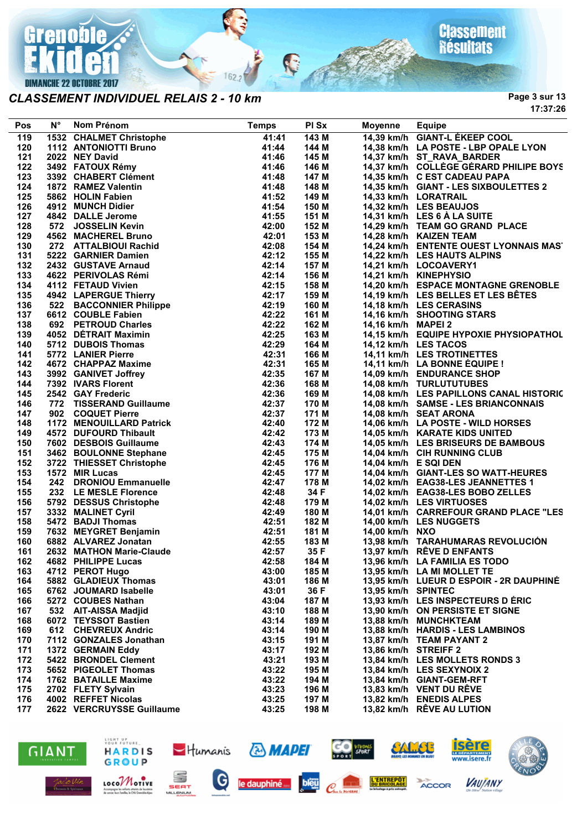

#### *CLASSEMENT INDIVIDUEL RELAIS 2 - 10 km*

**Page 3 sur 13 17:37:26**

| Pos | $N^{\circ}$ | Nom Prénom                                    | <b>Temps</b> | PI Sx | <b>Moyenne</b>     | <b>Equipe</b>                           |
|-----|-------------|-----------------------------------------------|--------------|-------|--------------------|-----------------------------------------|
| 119 |             | 1532 CHALMET Christophe                       | 41:41        | 143 M |                    | 14,39 km/h GIANT-L ÉKEEP COOL           |
| 120 |             | 1112 ANTONIOTTI Bruno                         | 41:44        | 144 M |                    | 14,38 km/h LA POSTE - LBP OPALE LYON    |
| 121 |             | 2022 NEY David                                | 41:46        | 145 M |                    | 14,37 km/h ST_RAVA_BARDER               |
| 122 |             | 3492 FATOUX Rémy                              | 41:46        | 146 M |                    | 14,37 km/h COLLÈGE GÉRARD PHILIPE BOYS  |
| 123 |             | 3392 CHABERT Clément                          | 41:48        | 147 M |                    | 14,35 km/h C EST CADEAU PAPA            |
| 124 |             | 1872 RAMEZ Valentin                           | 41:48        | 148 M |                    | 14,35 km/h GIANT - LES SIXBOULETTES 2   |
| 125 |             | 5862 HOLIN Fabien                             | 41:52        | 149 M |                    | 14,33 km/h LORATRAIL                    |
| 126 |             | 4912 MUNCH Didier                             | 41:54        | 150 M |                    | 14,32 km/h LES BEAUJOS                  |
| 127 |             | 4842 DALLE Jerome                             | 41:55        | 151 M |                    | 14,31 km/h LES 6 A LA SUITE             |
| 128 |             | 572 JOSSELIN Kevin                            | 42:00        | 152 M |                    | 14,29 km/h TEAM GO GRAND PLACE          |
| 129 |             | 4562 MACHEREL Bruno                           | 42:01        | 153 M |                    | 14.28 km/h KAIZEN TEAM                  |
| 130 |             | 272 ATTALBIOUI Rachid                         | 42:08        | 154 M |                    | 14,24 km/h ENTENTE OUEST LYONNAIS MAS'  |
| 131 |             | 5222 GARNIER Damien                           | 42:12        | 155 M |                    | 14,22 km/h LES HAUTS ALPINS             |
| 132 |             | 2432 GUSTAVE Arnaud                           | 42:14        | 157 M |                    | 14,21 km/h LOCOAVERY1                   |
| 133 |             | 4622 PERIVOLAS Rémi                           | 42:14        | 156 M |                    | 14,21 km/h KINEPHYSIO                   |
| 134 |             | 4112 FETAUD Vivien                            | 42:15        | 158 M |                    | 14,20 km/h ESPACE MONTAGNE GRENOBLE     |
| 135 |             | 4942 LAPERGUE Thierry                         | 42:17        | 159 M |                    | 14,19 km/h LES BELLES ET LES BÊTES      |
| 136 |             |                                               | 42:19        | 160 M |                    | 14,18 km/h LES CERASINS                 |
| 137 |             | 522 BACCONNIER Philippe<br>6612 COUBLE Fabien | 42:22        | 161 M |                    | 14,16 km/h SHOOTING STARS               |
| 138 |             | 692 PETROUD Charles                           | 42:22        | 162 M | 14,16 km/h MAPEI 2 |                                         |
| 139 |             | 4052 DÉTRAIT Maximin                          | 42:25        | 163 M |                    | 14,15 km/h EQUIPE HYPOXIE PHYSIOPATHOL  |
| 140 |             | 5712 DUBOIS Thomas                            | 42:29        | 164 M |                    | 14,12 km/h LES TACOS                    |
| 141 |             | 5772 LANIER Pierre                            | 42:31        | 166 M |                    | 14,11 km/h LES TROTINETTES              |
| 142 |             | 4672 CHAPPAZ Maxime                           | 42:31        | 165 M |                    |                                         |
| 143 |             | 3992 GANIVET Joffrey                          | 42:35        | 167 M |                    | 14,11 km/h LA BONNE EQUIPE !            |
|     |             |                                               |              |       |                    | 14,09 km/h ENDURANCE SHOP               |
| 144 |             | 7392 IVARS Florent                            | 42:36        | 168 M |                    | 14,08 km/h TURLUTUTUBES                 |
| 145 |             | 2542 GAY Frederic                             | 42:36        | 169 M |                    | 14,08 km/h LES PAPILLONS CANAL HISTORIC |
| 146 |             | 772 TISSERAND Guillaume                       | 42:37        | 170 M |                    | 14,08 km/h SAMSE - LES BRIANCONNAIS     |
| 147 |             | 902 COQUET Pierre<br>1172 MENOUILLARD Patrick | 42:37        | 171 M |                    | 14,08 km/h SEAT ARONA                   |
| 148 |             |                                               | 42:40        | 172 M |                    | 14,06 km/h LA POSTE - WILD HORSES       |
| 149 |             | 4572 DUFOURD Thibault                         | 42:42        | 173 M |                    | 14,05 km/h KARATE KIDS UNITED           |
| 150 |             | 7602 DESBOIS Guillaume                        | 42:43        | 174 M |                    | 14,05 km/h LES BRISEURS DE BAMBOUS      |
| 151 |             | 3462 BOULONNE Stephane                        | 42:45        | 175 M |                    | 14,04 km/h CIH RUNNING CLUB             |
| 152 |             | 3722 THIESSET Christophe                      | 42:45        | 176 M |                    | 14,04 km/h E SQI DEN                    |
| 153 |             | 1572 MIR Lucas                                | 42:45        | 177 M |                    | 14,04 km/h GIANT-LES SO WATT-HEURES     |
| 154 |             | 242 DRONIOU Emmanuelle                        | 42:47        | 178 M |                    | 14,02 km/h EAG38-LES JEANNETTES 1       |
| 155 |             | 232 LE MESLE Florence                         | 42:48        | 34 F  |                    | 14,02 km/h EAG38-LES BOBO ZELLES        |
| 156 |             | 5792 DESSUS Christophe                        | 42:48        | 179 M |                    | 14,02 km/h LES VIRTUOSES                |
| 157 |             | 3332 MALINET Cyril                            | 42:49        | 180 M |                    | 14,01 km/h CARREFOUR GRAND PLACE "LES   |
| 158 |             | 5472 BADJI Thomas                             | 42:51        | 182 M |                    | 14,00 km/h LES NUGGETS                  |
| 159 |             | 7632 MEYGRET Benjamin                         | 42:51        | 181 M | 14,00 km/h NXO     |                                         |
| 160 |             | 6882 ALVAREZ Jonatan                          | 42:55        | 183 M |                    | 13,98 km/h TARAHUMARAS REVOLUCIÓN       |
| 161 |             | 2632 MATHON Marie-Claude                      | 42:57        | 35 F  |                    | 13,97 km/h RÊVE D ENFANTS               |
| 162 |             | 42:58<br>4682 PHILIPPE Lucas                  |              | 184 M |                    | 13,96 km/h LA FAMILIA ES TODO           |
| 163 |             | 4712 PEROT Hugo                               | 43:00        | 185 M |                    | 13,95 km/h LA MI MOLLET TE              |
| 164 |             | 5882 GLADIEUX Thomas                          | 43:01        | 186 M |                    | 13,95 km/h LUEUR D ESPOIR - 2R DAUPHINE |
| 165 |             | 6762 JOUMARD Isabelle                         | 43:01        | 36 F  | 13,95 km/h SPINTEC |                                         |
| 166 |             | 5272 COUBES Nathan                            | 43:04        | 187 M |                    | 13,93 km/h LES INSPECTEURS D ÉRIC       |
| 167 |             | 532 AIT-AISSA Madjid                          | 43:10        | 188 M |                    | 13,90 km/h ON PERSISTE ET SIGNE         |
| 168 |             | 6072 TEYSSOT Bastien                          | 43:14        | 189 M |                    | 13,88 km/h MUNCHKTEAM                   |
| 169 |             | 612 CHEVREUX Andric                           | 43:14        | 190 M |                    | 13,88 km/h HARDIS - LES LAMBINOS        |
| 170 |             | 7112 GONZALES Jonathan                        | 43:15        | 191 M |                    | 13,87 km/h TEAM PAYANT 2                |
| 171 |             | 1372 GERMAIN Eddy                             | 43:17        | 192 M |                    | 13,86 km/h STREIFF 2                    |
| 172 |             | 5422 BRONDEL Clement                          | 43:21        | 193 M |                    | 13,84 km/h LES MOLLETS RONDS 3          |
| 173 |             | 5652 PIGEOLET Thomas                          | 43:22        | 195 M |                    | 13,84 km/h LES SEXYNOIX 2               |
| 174 |             | <b>1762 BATAILLE Maxime</b>                   | 43:22        | 194 M |                    | 13,84 km/h GIANT-GEM-RFT                |
| 175 |             | 2702 FLETY Sylvain                            | 43:23        | 196 M |                    | 13,83 km/h VENT DU RÊVE                 |
| 176 |             | 4002 REFFET Nicolas                           | 43:25        | 197 M |                    | 13,82 km/h ENEDIS ALPES                 |
| 177 |             | 2622 VERCRUYSSE Guillaume                     | 43:25        | 198 M |                    | 13,82 km/h RÊVE AU LUTION               |

C

 $162.2$ 





SEAT

**MILLENIUM** 

LOCOMOTIVE

Accompagne les solants atteints<br>de concer leurs familles, le CHI Go







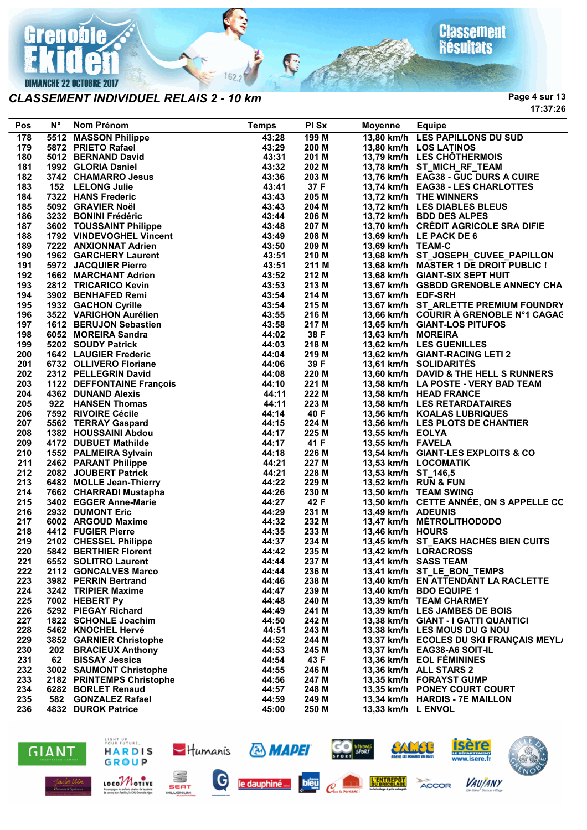

#### *CLASSEMENT INDIVIDUEL RELAIS 2 - 10 km*

**Page 4 sur 13 17:37:26**

| Pos | $N^{\circ}$ | Nom Prénom                                                            | <b>Temps</b> | PI Sx | Moyenne             | <b>Equipe</b>                           |
|-----|-------------|-----------------------------------------------------------------------|--------------|-------|---------------------|-----------------------------------------|
| 178 |             | 5512 MASSON Philippe                                                  | 43:28        | 199 M |                     | 13,80 km/h LES PAPILLONS DU SUD         |
| 179 |             | 5872 PRIETO Rafael                                                    | 43:29        | 200 M |                     | 13,80 km/h LOS LATINOS                  |
| 180 |             | 5012 BERNAND David                                                    | 43:31        | 201 M |                     | 13,79 km/h LES CHÔTHERMOIS              |
| 181 |             | 1992 GLORIA Daniel                                                    | 43:32        | 202 M |                     | 13,78 km/h ST_MICH_RF_TEAM              |
| 182 |             | 3742 CHAMARRO Jesus                                                   | 43:36        | 203 M |                     | 13,76 km/h EAG38 - GUC DURS A CUIRE     |
| 183 |             | 152 LELONG Julie                                                      | 43:41        | 37 F  |                     | 13,74 km/h EAG38 - LES CHARLOTTES       |
| 184 |             | 7322 HANS Frederic                                                    | 43:43        | 205 M |                     | 13,72 km/h THE WINNERS                  |
| 185 |             | 5092 GRAVIER Noël                                                     | 43:43        | 204 M |                     | 13,72 km/h LES DIABLES BLEUS            |
| 186 |             | 3232 BONINI Frédéric                                                  | 43:44        | 206 M |                     | 13,72 km/h BDD DES ALPES                |
| 187 |             | 3602 TOUSSAINT Philippe                                               | 43:48        | 207 M |                     | 13,70 km/h CRÉDIT AGRICOLE SRA DIFIE    |
|     |             | 1792 VINDEVOGHEL Vincent                                              |              |       |                     | 13,69 km/h LE PACK DE 6                 |
| 188 |             |                                                                       | 43:49        | 208 M |                     |                                         |
| 189 |             | 7222 ANXIONNAT Adrien                                                 | 43:50        | 209 M | 13,69 km/h TEAM-C   |                                         |
| 190 |             | 1962 GARCHERY Laurent                                                 | 43:51        | 210 M |                     | 13,68 km/h ST_JOSEPH_CUVEE_PAPILLON     |
| 191 |             | 5972 JACQUIER Pierre                                                  | 43:51        | 211 M |                     | 13,68 km/h MASTER 1 DE DROIT PUBLIC !   |
| 192 |             | 1662 MARCHANT Adrien                                                  | 43:52        | 212 M |                     | 13,68 km/h GIANT-SIX SEPT HUIT          |
| 193 |             | 2812 TRICARICO Kevin                                                  | 43:53        | 213 M |                     | 13,67 km/h GSBDD GRENOBLE ANNECY CHA    |
| 194 |             | 3902 BENHAFED Remi                                                    | 43:54        | 214 M | 13,67 km/h EDF-SRH  |                                         |
| 195 |             | 1932 GACHON Cyrille                                                   | 43:54        | 215 M |                     | 13,67 km/h ST_ARLETTE PREMIUM FOUNDRY   |
| 196 |             | 3522 VARICHON Aurélien                                                | 43:55        | 216 M |                     | 13,66 km/h COURIR À GRENOBLE N°1 CAGAC  |
| 197 |             | 1612 BERUJON Sebastien                                                | 43:58        | 217 M |                     | 13,65 km/h GIANT-LOS PITUFOS            |
| 198 |             | 6052 MOREIRA Sandra                                                   | 44:02        | 38 F  | 13,63 km/h MOREIRA  |                                         |
| 199 |             | 5202 SOUDY Patrick                                                    | 44:03        | 218 M |                     | 13,62 km/h LES GUENILLES                |
| 200 |             | <b>1642 LAUGIER Frederic</b>                                          | 44:04        | 219 M |                     | 13,62 km/h GIANT-RACING LETI 2          |
| 201 |             | 6732 OLLIVERO Floriane                                                | 44:06        | 39 F  |                     | 13,61 km/h SOLIDARITÉS                  |
| 202 |             | 2312 PELLEGRIN David                                                  | 44:08        | 220 M |                     | 13,60 km/h DAVID & THE HELL S RUNNERS   |
| 203 |             |                                                                       | 44:10        | 221 M |                     | 13,58 km/h LA POSTE - VERY BAD TEAM     |
| 204 |             | 2312 PELLLONING C.<br>1122 DEFFONTAINE François<br>4362 DUNAND Alexis | 44:11        | 222 M |                     | 13,58 km/h HEAD FRANCE                  |
| 205 |             | 922 HANSEN Thomas                                                     | 44:11        | 223 M |                     | 13,58 km/h LES RETARDATAIRES            |
| 206 |             | 7592 RIVOIRE Cécile                                                   | 44:14        | 40 F  |                     | 13,56 km/h KOALAS LUBRIQUES             |
| 207 |             | 5562 TERRAY Gaspard                                                   | 44:15        | 224 M |                     | 13,56 km/h LES PLOTS DE CHANTIER        |
| 208 |             | 1382 HOUSSAINI Abdou                                                  | 44:17        | 225 M | 13,55 km/h EOLYA    |                                         |
| 209 |             | 4172 DUBUET Mathilde                                                  | 44:17        | 41 F  | 13,55 km/h FAVELA   |                                         |
| 210 |             | 1552 PALMEIRA Sylvain                                                 | 44:18        | 226 M |                     | 13,54 km/h GIANT-LES EXPLOITS & CO      |
|     |             |                                                                       | 44:21        | 227 M |                     | 13,53 km/h LOCOMATIK                    |
| 211 |             | 2462 PARANT Philippe                                                  |              |       |                     |                                         |
| 212 |             | 2082 JOUBERT Patrick                                                  | 44:21        | 228 M | 13,53 km/h ST_146,5 |                                         |
| 213 |             | 6482 MOLLE Jean-Thierry                                               | 44:22        | 229 M |                     | 13,52 km/h RUN & FUN                    |
| 214 |             | 7662 CHARRADI Mustapha                                                | 44:26        | 230 M |                     | 13,50 km/h TEAM SWING                   |
| 215 |             | 3402 EGGER Anne-Marie                                                 | 44:27        | 42 F  |                     | 13,50 km/h CETTE ANNÉE, ON S APPELLE CC |
| 216 |             | 2932 DUMONT Eric                                                      | 44:29        | 231 M | 13,49 km/h ADEUNIS  |                                         |
| 217 |             | 6002 ARGOUD Maxime                                                    | 44:32        | 232 M |                     | 13,47 km/h MÉTROLITHODODO               |
| 218 |             | 4412 FUGIER Pierre                                                    | 44:35        | 233 M | 13,46 km/h HOURS    |                                         |
| 219 |             | 2102 CHESSEL Philippe                                                 | 44:37        | 234 M |                     | 13,45 km/h ST_EAKS HACHÉS BIEN CUITS    |
| 220 |             | 5842 BERTHIER Florent                                                 | 44:42        | 235 M |                     | 13,42 km/h LORACROSS                    |
| 221 |             | 6552 SOLITRO Laurent                                                  | 44:44        | 237 M |                     | 13,41 km/h SASS TEAM                    |
| 222 |             | 2112 GONCALVES Marco                                                  | 44:44        | 236 M |                     | 13,41 km/h ST_LE_BON_TEMPS              |
| 223 |             | 3982 PERRIN Bertrand                                                  | 44:46        | 238 M |                     | 13,40 km/h EN ATTENDANT LA RACLETTE     |
| 224 |             | 3242 TRIPIER Maxime                                                   | 44:47        | 239 M |                     | 13,40 km/h BDO EQUIPE 1                 |
| 225 |             | 7002 HEBERT Py                                                        | 44:48        | 240 M |                     | 13,39 km/h TEAM CHARMEY                 |
| 226 |             | 5292 PIEGAY Richard                                                   | 44:49        | 241 M |                     | 13,39 km/h LES JAMBES DE BOIS           |
| 227 |             | 1822 SCHONLE Joachim                                                  | 44:50        | 242 M |                     | 13,38 km/h GIANT - I GATTI QUANTICI     |
| 228 |             | 5462 KNOCHEL Hervé                                                    | 44:51        | 243 M |                     | 13,38 km/h LES MOUS DU G NOU            |
| 229 |             | 3852 GARNIER Christophe                                               | 44:52        | 244 M |                     | 13,37 km/h ECOLES DU SKI FRANÇAIS MEYL/ |
| 230 |             | 202 BRACIEUX Anthony                                                  | 44:53        | 245 M |                     | 13,37 km/h EAG38-A6 SOIT-IL             |
| 231 | 62          | <b>BISSAY Jessica</b>                                                 | 44:54        | 43 F  |                     | 13,36 km/h EOL FÉMININES                |
| 232 |             | 3002 SAUMONT Christophe                                               | 44:55        | 246 M |                     | 13,36 km/h ALL STARS 2                  |
| 233 |             | 2182 PRINTEMPS Christophe                                             | 44:56        | 247 M |                     | 13.35 km/h FORAYST GUMP                 |
| 234 |             | 6282 BORLET Renaud                                                    | 44:57        | 248 M |                     | 13,35 km/h PONEY COURT COURT            |
|     |             |                                                                       |              |       |                     |                                         |
| 235 |             | 582 GONZALEZ Rafael                                                   | 44:59        | 249 M |                     | 13,34 km/h HARDIS - 7E MAILLON          |
| 236 |             | 4832 DUROK Patrice                                                    | 45:00        | 250 M | 13,33 km/h L ENVOL  |                                         |

R

 $162.2$ 





LOCOMOTIVE

te les anfants atteints<br>sun families, le CHLI G













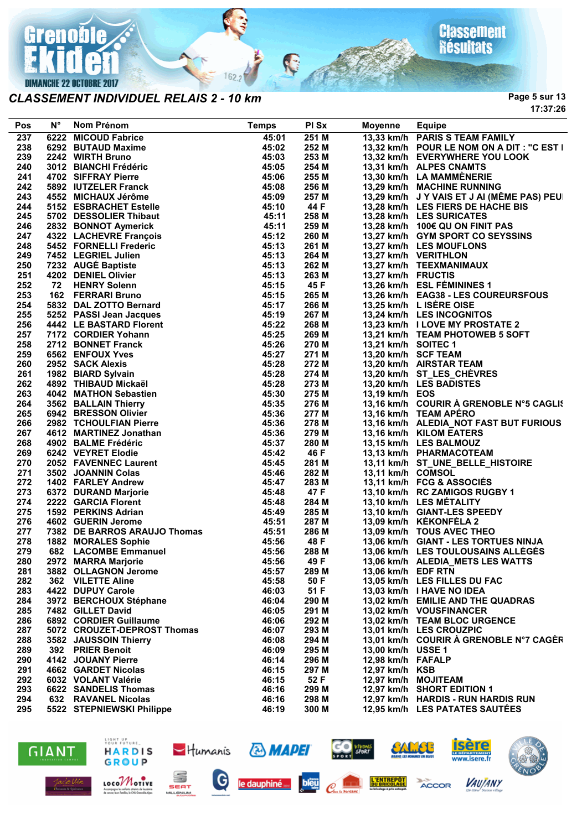

*CLASSEMENT INDIVIDUEL RELAIS 2 - 10 km*

**Page 5 sur 13 17:37:26**

| Pos | Ν°  | <b>Nom Prénom</b>            | <b>Temps</b> | PI Sx | <b>Moyenne</b>      | <b>Equipe</b>                              |
|-----|-----|------------------------------|--------------|-------|---------------------|--------------------------------------------|
| 237 |     | 6222 MICOUD Fabrice          | 45:01        | 251 M |                     | 13,33 km/h PARIS S TEAM FAMILY             |
| 238 |     | 6292 BUTAUD Maxime           | 45:02        | 252 M |                     | 13,32 km/h POUR LE NOM ON A DIT : "C EST I |
| 239 |     | 2242 WIRTH Bruno             | 45:03        | 253 M |                     | 13,32 km/h EVERYWHERE YOU LOOK             |
| 240 |     | 3012 BIANCHI Frédéric        | 45:05        | 254 M |                     | 13,31 km/h ALPES CNAMTS                    |
| 241 |     | 4702 SIFFRAY Pierre          | 45:06        | 255 M |                     | 13,30 km/h LA MAMMÈNERIE                   |
| 242 |     | 5892 IUTZELER Franck         | 45:08        | 256 M |                     | 13,29 km/h MACHINE RUNNING                 |
| 243 |     | 4552 MICHAUX Jérôme          | 45:09        | 257 M |                     | 13,29 km/h J Y VAIS ET J AI (MÊME PAS) PEU |
| 244 |     | 5152 ESBRACHET Estelle       | 45:10        | 44 F  |                     | 13,28 km/h LES FIERS DE HACHE BIS          |
| 245 |     | 5702 DESSOLIER Thibaut       | 45:11        | 258 M |                     | 13,28 km/h LES SURICATES                   |
| 246 |     | 2832 BONNOT Aymerick         | 45:11        | 259 M |                     | 13,28 km/h 100€ QU ON FINIT PAS            |
| 247 |     | 4322 LACHEVRE François       | 45:12        | 260 M |                     | 13,27 km/h GYM SPORT CO SEYSSINS           |
| 248 |     | 5452 FORNELLI Frederic       | 45:13        | 261 M |                     | 13,27 km/h LES MOUFLONS                    |
| 249 |     | 7452 LEGRIEL Julien          | 45:13        | 264 M |                     | 13,27 km/h VERITHLON                       |
| 250 |     | 7232 AUGÉ Baptiste           | 45:13        | 262 M |                     | 13,27 km/h TEEXMANIMAUX                    |
| 251 |     | 4202 DENIEL Olivier          | 45:13        | 263 M | 13,27 km/h FRUCTIS  |                                            |
| 252 | 72  | <b>HENRY Solenn</b>          | 45:15        | 45 F  |                     | 13,26 km/h ESL FÉMININES 1                 |
| 253 | 162 | <b>FERRARI Bruno</b>         | 45:15        | 265 M |                     | 13,26 km/h EAG38 - LES COUREURSFOUS        |
| 254 |     | 5832 DAL ZOTTO Bernard       | 45:17        | 266 M |                     | 13,25 km/h L ISERE OISE                    |
| 255 |     | 5252 PASSI Jean Jacques      | 45:19        | 267 M |                     | 13,24 km/h LES INCOGNITOS                  |
| 256 |     | 4442 LE BASTARD Florent      | 45:22        | 268 M |                     | 13,23 km/h I LOVE MY PROSTATE 2            |
| 257 |     | 7172 CORDIER Yohann          | 45:25        | 269 M |                     | 13,21 km/h TEAM PHOTOWEB 5 SOFT            |
| 258 |     | 2712 BONNET Franck           | 45:26        | 270 M | 13,21 km/h SOITEC 1 |                                            |
| 259 |     | 6562 ENFOUX Yves             | 45:27        | 271 M | 13,20 km/h SCF TEAM |                                            |
| 260 |     | 2952 SACK Alexis             | 45:28        | 272 M |                     | 13,20 km/h AIRSTAR TEAM                    |
| 261 |     | 1982 BIARD Sylvain           | 45:28        | 274 M |                     | 13,20 km/h ST_LES_CHEVRES                  |
| 262 |     | 4892 THIBAUD Mickaël         | 45:28        | 273 M |                     | 13,20 km/h LES BADISTES                    |
| 263 |     | 4042 MATHON Sebastien        | 45:30        | 275 M | 13,19 km/h EOS      |                                            |
| 264 |     | 3562 BALLAIN Thierry         | 45:35        | 276 M |                     | 13,16 km/h COURIR À GRENOBLE N°5 CAGLIS    |
| 265 |     | 6942 BRESSON Olivier         | 45:36        | 277 M |                     | 13,16 km/h TEAM APÉRO                      |
| 266 |     | 2982 TCHOULFIAN Pierre       | 45:36        | 278 M |                     | 13,16 km/h ALEDIA_NOT FAST BUT FURIOUS     |
| 267 |     | 4612 MARTINEZ Jonathan       | 45:36        | 279 M |                     | 13,16 km/h KILOM EATERS                    |
| 268 |     | 4902 BALME Frédéric          | 45:37        | 280 M |                     | 13,15 km/h LES BALMOUZ                     |
| 269 |     | 6242 VEYRET Elodie           | 45:42        | 46 F  |                     | 13,13 km/h PHARMACOTEAM                    |
| 270 |     | 2052 FAVENNEC Laurent        | 45:45        | 281 M |                     | 13,11 km/h ST_UNE_BELLE_HISTOIRE           |
| 271 |     | 3502 JOANNIN Colas           | 45:46        | 282 M | 13,11 km/h COMSOL   |                                            |
| 272 |     | 1402 FARLEY Andrew           | 45:47        | 283 M |                     | 13,11 km/h FCG & ASSOCIÉS                  |
| 273 |     | 6372 DURAND Marjorie         | 45:48        | 47 F  |                     | 13,10 km/h RC ZAMIGOS RUGBY 1              |
| 274 |     | 2222 GARCIA Florent          | 45:48        | 284 M |                     | 13,10 km/h LES MÉTALITY                    |
| 275 |     | 1592 PERKINS Adrian          | 45:49        | 285 M |                     | 13,10 km/h GIANT-LES SPEEDY                |
| 276 |     | 4602 GUERIN Jerome           | 45:51        | 287 M |                     | 13,09 km/h KÉKONFÉLA 2                     |
| 277 |     | 7382 DE BARROS ARAUJO Thomas | 45:51        | 286 M |                     | 13,09 km/h TOUS AVEC THEO                  |
| 278 |     | <b>1882 MORALES Sophie</b>   | 45:56        | 48 F  |                     | 13,06 km/h GIANT - LES TORTUES NINJA       |
| 279 |     | 682 LACOMBE Emmanuel         | 45:56        | 288 M |                     | 13,06 km/h LES TOULOUSAINS ALLEGES         |
| 280 |     | 2972 MARRA Marjorie          | 45:56        | 49 F  |                     | 13,06 km/h ALEDIA METS LES WATTS           |
| 281 |     | 3882 OLLAGNON Jerome         | 45:57        | 289 M | 13,06 km/h EDF RTN  |                                            |
| 282 |     | 362 VILETTE Aline            | 45:58        | 50 F  |                     | 13,05 km/h LES FILLES DU FAC               |
| 283 |     | 4422 DUPUY Carole            | 46:03        | 51 F  |                     | 13,03 km/h I HAVE NO IDEA                  |
| 284 |     | 3972 BERCHOUX Stéphane       | 46:04        | 290 M |                     | 13,02 km/h EMILIE AND THE QUADRAS          |
| 285 |     | 7482 GILLET David            | 46:05        | 291 M |                     | 13,02 km/h VOUSFINANCER                    |
| 286 |     | 6892 CORDIER Guillaume       | 46:06        | 292 M |                     | 13,02 km/h TEAM BLOC URGENCE               |
| 287 |     | 5072 CROUZET-DEPROST Thomas  | 46:07        | 293 M |                     | 13.01 km/h LES CROUZPIC                    |
| 288 |     | 3582 JAUSSOIN Thierry        | 46:08        | 294 M |                     | 13,01 km/h COURIR A GRENOBLE N°7 CAGER     |
| 289 |     | 392 PRIER Benoit             | 46:09        | 295 M | 13,00 km/h USSE 1   |                                            |
| 290 |     | 4142 JOUANY Pierre           | 46:14        | 296 M | 12,98 km/h FAFALP   |                                            |
| 291 |     | <b>4662 GARDET Nicolas</b>   | 46:15        | 297 M | 12,97 km/h KSB      |                                            |
| 292 |     | 6032 VOLANT Valérie          | 46:15        | 52 F  |                     | 12,97 km/h MOJITEAM                        |
| 293 |     | 6622 SANDELIS Thomas         | 46:16        | 299 M |                     | 12,97 km/h SHORT EDITION 1                 |
| 294 |     | <b>632 RAVANEL Nicolas</b>   | 46:16        | 298 M |                     | 12,97 km/h HARDIS - RUN HARDIS RUN         |
| 295 |     | 5522 STEPNIEWSKI Philippe    | 46:19        | 300 M |                     | 12,95 km/h LES PATATES SAUTÉES             |
|     |     |                              |              |       |                     |                                            |

Ç

 $162.2$ 





SEAT

MILLENIUM

LIGHT UP<br>YOUR FUTURE

LOCOMOTIVE

Accompagne les solaris aiteints de leucénie<br>de concer leurs fomilles, le CHI Grandele-Alom



**& MAPEI** 





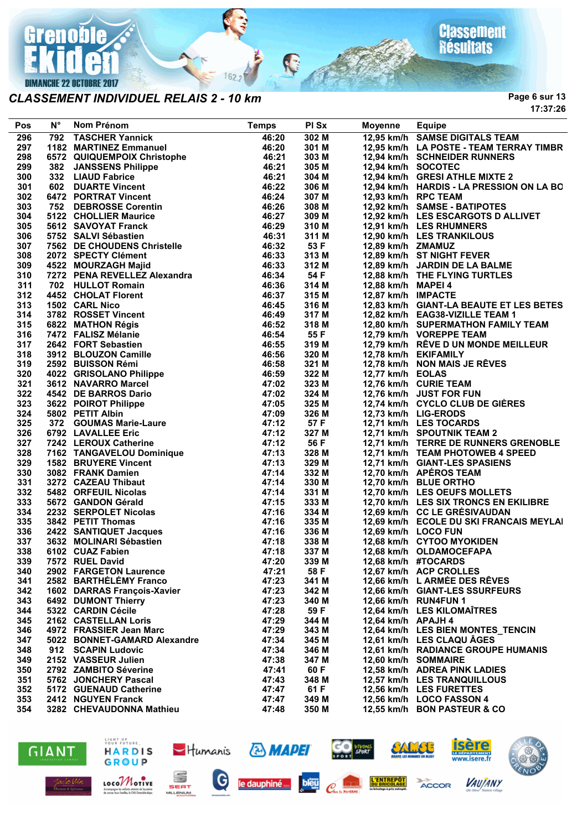

#### *CLASSEMENT INDIVIDUEL RELAIS 2 - 10 km*

**Page 6 sur 13 17:37:26**

| Pos | <b>N°</b> | Nom Prénom                                                             | <b>Temps</b> | PI Sx          | Moyenne             | <b>Equipe</b>                                        |
|-----|-----------|------------------------------------------------------------------------|--------------|----------------|---------------------|------------------------------------------------------|
| 296 | 792       | <b>TASCHER Yannick</b>                                                 | 46:20        | 302 M          |                     | 12,95 km/h SAMSE DIGITALS TEAM                       |
| 297 |           | 1182 MARTINEZ Emmanuel                                                 | 46:20        | 301 M          |                     | 12,95 km/h LA POSTE - TEAM TERRAY TIMBR              |
| 298 |           | 6572 QUIQUEMPOIX Christophe                                            | 46:21        | 303 M          |                     | 12,94 km/h SCHNEIDER RUNNERS                         |
| 299 |           | 382 JANSSENS Philippe                                                  | 46:21        | 305 M          | 12,94 km/h SOCOTEC  |                                                      |
| 300 |           | 332 LIAUD Fabrice                                                      | 46:21        | 304 M          |                     | 12,94 km/h GRESI ATHLE MIXTE 2                       |
| 301 |           | 602 DUARTE Vincent                                                     | 46:22        | 306 M          |                     | 12,94 km/h HARDIS - LA PRESSION ON LA BO             |
| 302 |           | 6472 PORTRAT Vincent                                                   | 46:24        | 307 M          | 12,93 km/h RPC TEAM |                                                      |
| 303 |           | 752 DEBROSSE Corentin                                                  | 46:26        | 308 M          |                     | 12,92 km/h SAMSE - BATIPOTES                         |
| 304 |           | 5122 CHOLLIER Maurice                                                  | 46:27        | 309 M          |                     | 12,92 km/h LES ESCARGOTS D ALLIVET                   |
| 305 |           | 5612 SAVOYAT Franck                                                    | 46:29        | 310 M          |                     | 12,91 km/h LES RHUMNERS                              |
| 306 |           | 5752 SALVI Sébastien                                                   | 46:31        | 311 M          |                     | 12,90 km/h LES TRANKILOUS                            |
| 307 |           | 7562 DE CHOUDENS Christelle                                            | 46:32        | 53 F           | 12,89 km/h ZMAMUZ   |                                                      |
| 308 |           | 2072 SPECTY Clément                                                    | 46:33        | 313 M          |                     | 12,89 km/h ST NIGHT FEVER                            |
| 309 |           | 4522 MOURZAGH Majid                                                    | 46:33        | 312 M          |                     | 12,89 km/h JARDIN DE LA BALME                        |
| 310 |           | 7272 PENA REVELLEZ Alexandra                                           | 46:34        | 54 F           |                     | 12,88 km/h THE FLYING TURTLES                        |
| 311 |           | 702 HULLOT Romain                                                      | 46:36        | 314 M          | 12,88 km/h MAPEI 4  |                                                      |
| 312 |           | 4452 CHOLAT Florent                                                    | 46:37        | 315 M          | 12,87 km/h IMPACTE  |                                                      |
| 313 |           | 1502 CARL Nico                                                         | 46:45        | 316 M          |                     | 12,83 km/h GIANT-LA BEAUTE ET LES BETES              |
| 314 |           | 3782 ROSSET Vincent                                                    | 46:49        | 317 M          |                     | 12,82 km/h EAG38-VIZILLE TEAM 1                      |
| 315 |           | 6822 MATHON Régis                                                      | 46:52        | 318 M          |                     | 12,80 km/h SUPERMATHON FAMILY TEAM                   |
| 316 |           | 7472 FALISZ Mélanie                                                    | 46:54        | 55 F           |                     | 12,79 km/h VOREPPE TEAM                              |
| 317 |           | 2642 FORT Sebastien                                                    | 46:55        | 319 M          |                     | 12,79 km/h RÊVE D UN MONDE MEILLEUR                  |
|     |           |                                                                        |              |                |                     |                                                      |
| 318 |           | 3912 BLOUZON Camille<br>2592 BUISSON Rémi                              | 46:56        | 320 M<br>321 M |                     | 12,78 km/h EKIFAMILY<br>12,78 km/h NON MAIS JE RÊVES |
| 319 |           |                                                                        | 46:58        |                |                     |                                                      |
| 320 |           | 4022 GRISOLANO Philippe                                                | 46:59        | 322 M          | 12,77 km/h EOLAS    |                                                      |
| 321 |           | 3612 NAVARRO Marcel                                                    | 47:02        | 323 M          |                     | 12,76 km/h CURIE TEAM                                |
| 322 |           | 4542 DE BARROS Dario                                                   | 47:02        | 324 M          |                     | 12,76 km/h JUST FOR FUN                              |
| 323 |           | 3622 POIROT Philippe                                                   | 47:05        | 325 M          |                     | 12,74 km/h CYCLO CLUB DE GIÈRES                      |
| 324 |           | 5802 PETIT Albin                                                       | 47:09        | 326 M          |                     | 12,73 km/h LIG-ERODS                                 |
| 325 |           | 372 GOUMAS Marie-Laure                                                 | 47:12        | 57 F           |                     | 12,71 km/h LES TOCARDS                               |
| 326 |           | 6792 LAVALLEE Eric                                                     | 47:12        | 327 M          |                     | 12,71 km/h SPOUTNIK TEAM 2                           |
| 327 |           | 7242 LEROUX Catherine                                                  | 47:12        | 56 F           |                     | 12,71 km/h TERRE DE RUNNERS GRENOBLE                 |
| 328 |           |                                                                        | 47:13        | 328 M          |                     | 12,71 km/h TEAM PHOTOWEB 4 SPEED                     |
| 329 |           |                                                                        | 47:13        | 329 M          |                     | 12,71 km/h GIANT-LES SPASIENS                        |
| 330 |           | 7162 TANGAVELOU Dominique<br>1582 BRUYERE Vincent<br>3082 FRANK Damien | 47:14        | 332 M          |                     | 12,70 km/h APÉROS TEAM                               |
| 331 |           | 3272 CAZEAU Thibaut                                                    | 47:14        | 330 M          |                     | 12,70 km/h BLUE ORTHO                                |
| 332 |           | 5482 ORFEUIL Nicolas                                                   | 47:14        | 331 M          |                     | 12,70 km/h LES OEUFS MOLLETS                         |
| 333 |           | 5672 GANDON Gérald                                                     | 47:15        | 333 M          |                     | 12,70 km/h LES SIX TRONCS EN EKILIBRE                |
| 334 |           | 2232 SERPOLET Nicolas                                                  | 47:16        | 334 M          |                     | 12,69 km/h CC LE GRÉSIVAUDAN                         |
| 335 |           | 3842 PETIT Thomas                                                      | 47:16        | 335 M          |                     | 12,69 km/h ECOLE DU SKI FRANCAIS MEYLAI              |
| 336 |           | 2422 SANTIQUET Jacques                                                 | 47:16        | 336 M          | 12,69 km/h LOCO FUN |                                                      |
| 337 |           | 3632 MOLINARI Sébastien                                                | 47:18        | 338 M          |                     | 12,68 km/h CYTOO MYOKIDEN                            |
| 338 |           | 6102 CUAZ Fabien                                                       | 47:18        | 337 M          |                     | 12,68 km/h OLDAMOCEFAPA                              |
| 339 |           | 7572 RUEL David                                                        | 47:20        | 339 M          |                     | 12,68 km/h #TOCARDS                                  |
| 340 |           | 2902 FARGETON Laurence                                                 | 47:21        | 58 F           |                     | 12,67 km/h ACP CROLLES                               |
| 341 |           | 2582 BARTHELEMY Franco                                                 | 47:23        | 341 M          |                     | 12,66 km/h L ARMÉE DES RÊVES                         |
| 342 |           | 1602 DARRAS François-Xavier                                            | 47:23        | 342 M          |                     | 12.66 km/h GIANT-LES SSURFEURS                       |
| 343 |           | 6492 DUMONT Thierry                                                    | 47:23        | 340 M          |                     | 12,66 km/h RUN4FUN 1                                 |
| 344 |           | 5322 CARDIN Cécile                                                     | 47:28        | 59 F           |                     | 12,64 km/h LES KILOMAÎTRES                           |
| 345 |           | 2162 CASTELLAN Loris                                                   | 47:29        | 344 M          | 12,64 km/h APAJH 4  |                                                      |
| 346 |           | 4972 FRASSIER Jean Marc                                                | 47:29        | 343 M          |                     | 12,64 km/h LES BIEN MONTES_TENCIN                    |
| 347 |           | 5022 BONNET-GAMARD Alexandre                                           | 47:34        | 345 M          |                     | 12,61 km/h LES CLAQU ÂGES                            |
| 348 |           | 912 SCAPIN Ludovic                                                     | 47:34        | 346 M          |                     | 12,61 km/h RADIANCE GROUPE HUMANIS                   |
| 349 |           | 2152 VASSEUR Julien                                                    | 47:38        | 347 M          |                     | 12,60 km/h SOMMAIRE                                  |
| 350 |           | 2792 ZAMBITO Séverine                                                  | 47:41        | 60 F           |                     | 12,58 km/h ADREA PINK LADIES                         |
| 351 |           | 5762 JONCHERY Pascal                                                   | 47:43        | 348 M          |                     | 12,57 km/h LES TRANQUILLOUS                          |
| 352 |           | 5172 GUENAUD Catherine                                                 | 47:47        | 61 F           |                     | 12,56 km/h LES FURETTES                              |
| 353 |           | 2412 NGUYEN Franck                                                     | 47:47        | 349 M          |                     | 12,56 km/h LOCO FASSON 4                             |
| 354 |           | 3282 CHEVAUDONNA Mathieu                                               | 47:48        | 350 M          |                     | 12,55 km/h BON PASTEUR & CO                          |

R

 $162.2$ 





SEAT

MILLENIUM

LOCOMOTIVE

Accompagne les solants atteints<br>de concer leurs fomilles, le OKI G



**& MAPEI** 





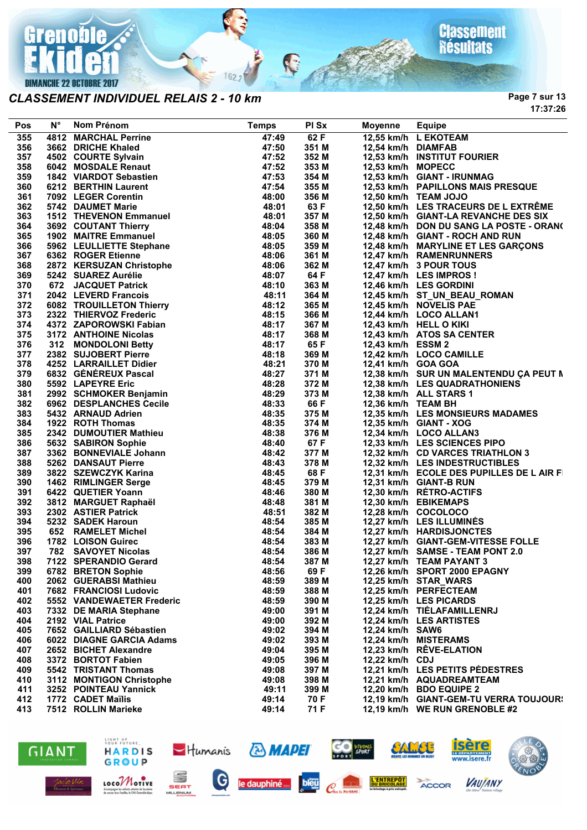

*CLASSEMENT INDIVIDUEL RELAIS 2 - 10 km*

**Page 7 sur 13 17:37:26**

| Pos | $N^{\circ}$ | Nom Prénom                                                                                                                                                                                                                                       | <b>Temps</b> | PI Sx | <b>Moyenne</b>     | <b>Equipe</b>                            |
|-----|-------------|--------------------------------------------------------------------------------------------------------------------------------------------------------------------------------------------------------------------------------------------------|--------------|-------|--------------------|------------------------------------------|
| 355 |             | <b>4812 MARCHAL Perrine</b>                                                                                                                                                                                                                      | 47:49        | 62 F  |                    | 12,55 km/h L EKOTEAM                     |
| 356 |             | 4812 MARCHAL Perrine<br>3662 DRICHE Khaled<br>4502 COURTE Sylvain<br>6042 MOSDALE Renaut<br>1842 VIARDOT Sebastien<br>6212 BERTHIN Laurent<br>7092 LEGER Corentin<br>5742 DAUMET Marie<br>1512 THEVENON Emmanuel<br>1503 THEVENON Emmanuel       | 47:50        | 351 M | 12,54 km/h DIAMFAB |                                          |
| 357 |             |                                                                                                                                                                                                                                                  | 47:52        | 352 M |                    | 12,53 km/h INSTITUT FOURIER              |
| 358 |             |                                                                                                                                                                                                                                                  | 47:52        | 353 M | 12,53 km/h MOPECC  |                                          |
| 359 |             |                                                                                                                                                                                                                                                  | 47:53        | 354 M |                    | 12,53 km/h GIANT - IRUNMAG               |
| 360 |             |                                                                                                                                                                                                                                                  | 47:54        | 355 M |                    | 12,53 km/h PAPILLONS MAIS PRESQUE        |
| 361 |             |                                                                                                                                                                                                                                                  | 48:00        | 356 M |                    | 12,50 km/h TEAM JOJO                     |
| 362 |             |                                                                                                                                                                                                                                                  | 48:01        | 63 F  |                    | 12,50 km/h LES TRACEURS DE L EXTRÊME     |
| 363 |             |                                                                                                                                                                                                                                                  | 48:01        | 357 M |                    | 12,50 km/h GIANT-LA REVANCHE DES SIX     |
| 364 |             | 3692 COUTANT Thierry                                                                                                                                                                                                                             | 48:04        | 358 M |                    | 12,48 km/h DON DU SANG LA POSTE - ORAN(  |
| 365 |             | 1902 MAITRE Emmanuel                                                                                                                                                                                                                             | 48:05        | 360 M |                    | 12,48 km/h GIANT - ROCH AND RUN          |
| 366 |             |                                                                                                                                                                                                                                                  | 48:05        | 359 M |                    | 12,48 km/h MARYLINE ET LES GARÇONS       |
| 367 |             |                                                                                                                                                                                                                                                  | 48:06        | 361 M |                    | 12,47 km/h RAMENRUNNERS                  |
| 368 |             |                                                                                                                                                                                                                                                  | 48:06        | 362 M |                    | 12,47 km/h 3 POUR TOUS                   |
| 369 |             |                                                                                                                                                                                                                                                  | 48:07        | 64 F  |                    | 12,47 km/h LES IMPROS !                  |
| 370 |             |                                                                                                                                                                                                                                                  | 48:10        | 363 M |                    | 12,46 km/h LES GORDINI                   |
| 371 |             |                                                                                                                                                                                                                                                  | 48:11        | 364 M |                    | 12,45 km/h ST_UN_BEAU_ROMAN              |
| 372 |             |                                                                                                                                                                                                                                                  | 48:12        | 365 M |                    | 12,45 km/h NOVELIS PAE                   |
| 373 |             |                                                                                                                                                                                                                                                  | 48:15        | 366 M |                    | 12,44 km/h LOCO ALLAN1                   |
| 374 |             |                                                                                                                                                                                                                                                  | 48:17        | 367 M |                    | 12,43 km/h HELL O KIKI                   |
| 375 |             |                                                                                                                                                                                                                                                  | 48:17        | 368 M |                    | 12,43 km/h ATOS SA CENTER                |
| 376 |             |                                                                                                                                                                                                                                                  | 48:17        | 65 F  | 12,43 km/h ESSM 2  |                                          |
| 377 |             |                                                                                                                                                                                                                                                  | 48:18        | 369 M |                    | 12,42 km/h LOCO CAMILLE                  |
| 378 |             |                                                                                                                                                                                                                                                  | 48:21        | 370 M | 12,41 km/h GOA GOA |                                          |
| 379 |             |                                                                                                                                                                                                                                                  | 48:27        | 371 M |                    | 12,38 km/h SUR UN MALENTENDU ÇA PEUT M   |
| 380 |             |                                                                                                                                                                                                                                                  | 48:28        | 372 M |                    | 12,38 km/h LES QUADRATHONIENS            |
| 381 |             |                                                                                                                                                                                                                                                  | 48:29        | 373 M |                    | 12,38 km/h ALL STARS 1                   |
| 382 |             |                                                                                                                                                                                                                                                  | 48:33        | 66 F  | 12,36 km/h TEAM BH |                                          |
| 383 |             |                                                                                                                                                                                                                                                  | 48:35        | 375 M |                    | 12,35 km/h LES MONSIEURS MADAMES         |
| 384 |             |                                                                                                                                                                                                                                                  | 48:35        | 374 M |                    | 12,35 km/h GIANT - XOG                   |
| 385 |             |                                                                                                                                                                                                                                                  | 48:38        | 376 M |                    | 12,34 km/h LOCO ALLAN3                   |
| 386 |             |                                                                                                                                                                                                                                                  | 48:40        | 67 F  |                    | 12,33 km/h LES SCIENCES PIPO             |
| 387 |             |                                                                                                                                                                                                                                                  | 48:42        | 377 M |                    | 12,32 km/h CD VARCES TRIATHLON 3         |
| 388 |             |                                                                                                                                                                                                                                                  | 48:43        | 378 M |                    | 12,32 km/h LES INDESTRUCTIBLES           |
| 389 |             |                                                                                                                                                                                                                                                  | 48:45        | 68 F  |                    | 12,31 km/h ECOLE DES PUPILLES DE L AIR F |
| 390 |             |                                                                                                                                                                                                                                                  | 48:45        | 379 M |                    | 12,31 km/h GIANT-B RUN                   |
| 391 |             |                                                                                                                                                                                                                                                  | 48:46        | 380 M |                    | 12,30 km/h RÉTRO-ACTIFS                  |
| 392 |             |                                                                                                                                                                                                                                                  | 48:48        | 381 M |                    | 12,30 km/h EBIKEMAPS                     |
| 393 |             |                                                                                                                                                                                                                                                  | 48:51        | 382 M |                    | 12,28 km/h COCOLOCO                      |
| 394 |             | 3692 COUTANT Thierry<br>1902 MATTRE Emmanuel<br>5962 LEULLIETTE Stephane<br>262 LEULLIETTE Stephane<br>262 ROGER Etienne<br>262 LEULLIETTE Stephane<br>262 LEVERD Francois<br>262 LEVERD Francois<br>262 LEVERD Francois<br>262 TROUILLETON Thie | 48:54        | 385 M |                    | 12,27 km/h LES ILLUMINÉS                 |
| 395 |             |                                                                                                                                                                                                                                                  | 48:54        | 384 M |                    | 12,27 km/h HARDISJONCTES                 |
| 396 |             |                                                                                                                                                                                                                                                  | 48:54        | 383 M |                    | 12,27 km/h GIANT-GEM-VITESSE FOLLE       |
| 397 |             |                                                                                                                                                                                                                                                  | 48:54        | 386 M |                    | 12,27 km/h SAMSE - TEAM PONT 2.0         |
| 398 |             | 7122 SPERANDIO Gerard                                                                                                                                                                                                                            | 48:54        | 387 M |                    | 12,27 km/h TEAM PAYANT 3                 |
| 399 |             | 6782 BRETON Sophie                                                                                                                                                                                                                               | 48:56        | 69 F  |                    | 12,26 km/h SPORT 2000 EPAGNY             |
| 400 |             | 2062 GUERABSI Mathieu                                                                                                                                                                                                                            | 48:59        | 389 M |                    | 12,25 km/h STAR_WARS                     |
| 401 |             | 7682 FRANCIOSI Ludovic                                                                                                                                                                                                                           | 48:59        | 388 M |                    | 12,25 km/h PERFECTEAM                    |
| 402 |             | 5552 VANDEWAETER Frederic                                                                                                                                                                                                                        | 48:59        | 390 M |                    | 12,25 km/h LES PICARDS                   |
| 403 |             | 7332 DE MARIA Stephane                                                                                                                                                                                                                           | 49:00        | 391 M |                    | 12,24 km/h TIÉLAFAMILLENRJ               |
| 404 |             | 2192 VIAL Patrice                                                                                                                                                                                                                                | 49:00        | 392 M |                    | 12,24 km/h LES ARTISTES                  |
| 405 |             | 7652 GAILLIARD Sébastien                                                                                                                                                                                                                         | 49:02        | 394 M | 12,24 km/h SAW6    |                                          |
| 406 |             | 6022 DIAGNE GARCIA Adams                                                                                                                                                                                                                         | 49:02        | 393 M |                    | 12,24 km/h MISTERAMS                     |
| 407 |             | 2652 BICHET Alexandre                                                                                                                                                                                                                            | 49:04        | 395 M |                    | 12,23 km/h RÊVE-ELATION                  |
| 408 |             | 3372 BORTOT Fabien                                                                                                                                                                                                                               | 49:05        | 396 M | 12,22 km/h CDJ     |                                          |
| 409 |             | 5542 TRISTANT Thomas                                                                                                                                                                                                                             | 49:08        | 397 M |                    | 12,21 km/h LES PETITS PÉDESTRES          |
| 410 |             | 3112 MONTIGON Christophe                                                                                                                                                                                                                         | 49:08        | 398 M |                    | 12,21 km/h AQUADREAMTEAM                 |
| 411 |             | 3252 POINTEAU Yannick                                                                                                                                                                                                                            | 49:11        | 399 M |                    | 12,20 km/h BDO EQUIPE 2                  |
| 412 |             | 1772 CADET Maïlis                                                                                                                                                                                                                                | 49:14        | 70 F  |                    | 12,19 km/h GIANT-GEM-TU VERRA TOUJOUR!   |
| 413 |             | 7512 ROLLIN Marieke                                                                                                                                                                                                                              | 49:14        | 71 F  |                    | 12,19 km/h WE RUN GRENOBLE #2            |

R

 $162.2$ 





SEAT

MILLENIUM

LOCOMOTIVE

Accompagne les solants atteints<br>de concer leurs fomilles, le OKI G



**& MAPEI** 





**VAUJANY** 

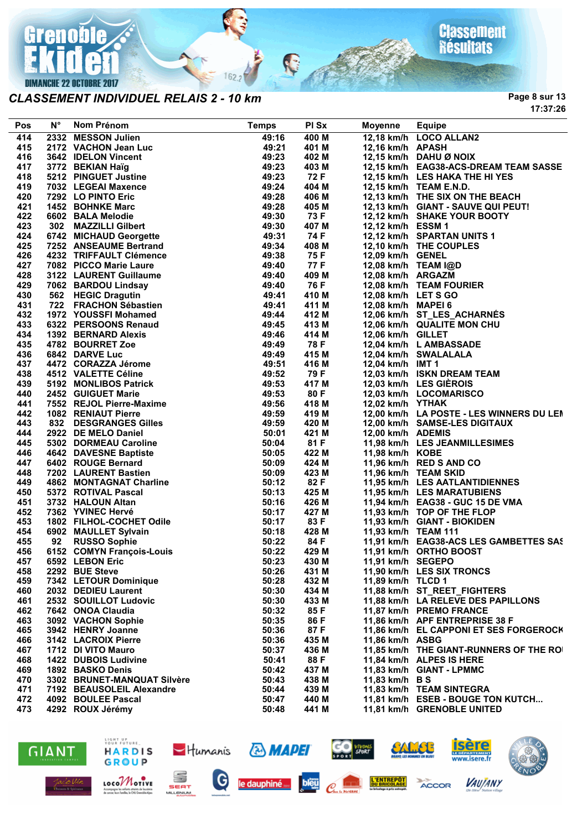

#### *CLASSEMENT INDIVIDUEL RELAIS 2 - 10 km*

**Classement**<br>Résultats

**Page 8 sur 13 17:37:26**

| Pos | $N^{\circ}$ | Nom Prénom                                       | <b>Temps</b>   | PI Sx | <b>Moyenne</b>      | <b>Equipe</b>                                        |
|-----|-------------|--------------------------------------------------|----------------|-------|---------------------|------------------------------------------------------|
| 414 |             | 2332 MESSON Julien                               | 49:16          | 400 M |                     | 12,18 km/h LOCO ALLAN2                               |
| 415 |             | 2172 VACHON Jean Luc                             | 49:21          | 401 M | 12,16 km/h APASH    |                                                      |
| 416 |             | 3642 IDELON Vincent                              | 49:23          | 402 M |                     | 12,15 km/h DAHU Ø NOIX                               |
| 417 |             | 3772 BEKIAN Haïg                                 | 49:23          | 403 M |                     | 12,15 km/h EAG38-ACS-DREAM TEAM SASSE                |
| 418 |             | 5212 PINGUET Justine                             | 49:23          | 72 F  |                     | 12,15 km/h LES HAKA THE HI YES                       |
| 419 |             | 7032 LEGEAI Maxence                              | 49:24          | 404 M |                     | 12,15 km/h TEAM E.N.D.                               |
| 420 |             | 7292 LO PINTO Eric                               | 49:28          | 406 M |                     | 12,13 km/h THE SIX ON THE BEACH                      |
| 421 |             | 1452 BOHNKE Marc                                 | 49:28          | 405 M |                     | 12,13 km/h GIANT - SAUVE QUI PEUT!                   |
| 422 |             | 6602 BALA Melodie                                | 49:30          | 73 F  |                     | 12,12 km/h SHAKE YOUR BOOTY                          |
|     |             |                                                  | 49:30          |       |                     |                                                      |
| 423 |             | 302 MAZZILLI Gilbert                             |                | 407 M | 12,12 km/h ESSM 1   |                                                      |
| 424 |             | 6742 MICHAUD Georgette<br>7252 ANSEAUME Bertrand | 49:31<br>49:34 | 74 F  |                     | 12,12 km/h SPARTAN UNITS 1<br>12,10 km/h THE COUPLES |
| 425 |             |                                                  |                | 408 M |                     |                                                      |
| 426 |             | 4232 TRIFFAULT Clémence                          | 49:38          | 75 F  | 12,09 km/h GENEL    |                                                      |
| 427 |             | 7082 PICCO Marie Laure                           | 49:40          | 77 F  |                     | 12,08 km/h TEAM I@D                                  |
| 428 |             | 3122 LAURENT Guillaume                           | 49:40          | 409 M | 12,08 km/h ARGAZM   |                                                      |
| 429 |             | 7062 BARDOU Lindsay                              | 49:40          | 76 F  |                     | 12,08 km/h TEAM FOURIER                              |
| 430 |             | 562 HEGIC Dragutin                               | 49:41          | 410 M | 12,08 km/h LET S GO |                                                      |
| 431 |             | 722 FRACHON Sébastien                            | 49:41          | 411 M | 12,08 km/h MAPEI 6  |                                                      |
| 432 |             | 1972 YOUSSFI Mohamed                             | 49:44          | 412 M |                     | 12,06 km/h ST_LES_ACHARNÉS                           |
| 433 |             | 6322 PERSOONS Renaud                             | 49:45          | 413 M |                     | 12,06 km/h QUALITE MON CHU                           |
| 434 |             | 1392 BERNARD Alexis                              | 49:46          | 414 M | 12,06 km/h GILLET   |                                                      |
| 435 |             | 4782 BOURRET Zoe                                 | 49:49          | 78 F  |                     | 12,04 km/h L AMBASSADE                               |
| 436 |             | 6842 DARVE Luc                                   | 49:49          | 415 M |                     | 12,04 km/h SWALALALA                                 |
| 437 |             | 4472 CORAZZA Jérome                              | 49:51          | 416 M | 12,04 km/h IMT 1    |                                                      |
| 438 |             | 4512 VALETTE Céline                              | 49:52          | 79 F  |                     | 12,03 km/h ISKN DREAM TEAM                           |
| 439 |             | 5192 MONLIBOS Patrick                            | 49:53          | 417 M |                     | 12,03 km/h LES GIÈROIS                               |
| 440 |             | 2452 GUIGUET Marie                               | 49:53          | 80 F  |                     | 12,03 km/h LOCOMARISCO                               |
| 441 |             | 7552 REJOL Pierre-Maxime                         | 49:56          | 418 M | 12,02 km/h YTHAK    |                                                      |
| 442 |             | <b>1082 RENIAUT Pierre</b>                       | 49:59          | 419 M |                     | 12,00 km/h LA POSTE - LES WINNERS DU LEN             |
| 443 |             | 832 DESGRANGES Gilles                            | 49:59          | 420 M |                     | 12,00 km/h SAMSE-LES DIGITAUX                        |
| 444 |             | 2922 DE MELO Daniel                              | 50:01          | 421 M | 12,00 km/h ADEMIS   |                                                      |
| 445 |             | 5302 DORMEAU Caroline                            | 50:04          | 81 F  |                     | 11,98 km/h LES JEANMILLESIMES                        |
| 446 |             | 4642 DAVESNE Baptiste                            | 50:05          | 422 M | 11,98 km/h KOBE     |                                                      |
| 447 |             | 6402 ROUGE Bernard                               | 50:09          | 424 M |                     | 11,96 km/h RED S AND CO                              |
| 448 |             | 7202 LAURENT Bastien                             | 50:09          | 423 M |                     | 11,96 km/h TEAM SKID                                 |
| 449 |             | 4862 MONTAGNAT Charline                          | 50:12          | 82 F  |                     | 11,95 km/h LES AATLANTIDIENNES                       |
|     |             | 5372 ROTIVAL Pascal                              | 50:13          | 425 M |                     | 11,95 km/h LES MARATUBIENS                           |
| 450 |             |                                                  |                |       |                     |                                                      |
| 451 |             | 3732 HALOUN Altan                                | 50:16          | 426 M |                     | 11,94 km/h EAG38 - GUC 15 DE VMA                     |
| 452 |             | 7362 YVINEC Hervé                                | 50:17          | 427 M |                     | 11,93 km/h TOP OF THE FLOP                           |
| 453 |             | 1802 FILHOL-COCHET Odile                         | 50:17          | 83 F  |                     | 11,93 km/h GIANT - BIOKIDEN                          |
| 454 |             | 6902 MAULLET Sylvain                             | 50:18          | 428 M | 11,93 km/h TEAM 111 |                                                      |
| 455 | 92          | <b>RUSSO Sophie</b>                              | 50:22          | 84 F  |                     | 11,91 km/h EAG38-ACS LES GAMBETTES SAS               |
| 456 |             | 6152 COMYN François-Louis                        | 50:22          | 429 M |                     | 11,91 km/h ORTHO BOOST                               |
| 457 |             | 6592 LEBON Eric                                  | 50:23          | 430 M | 11,91 km/h SEGEPO   |                                                      |
| 458 |             | 2292 BUE Steve                                   | 50:26          | 431 M |                     | 11,90 km/h LES SIX TRONCS                            |
| 459 |             | 7342 LETOUR Dominique                            | 50:28          | 432 M | 11,89 km/h TLCD 1   |                                                      |
| 460 |             | 2032 DEDIEU Laurent                              | 50:30          | 434 M |                     | 11,88 km/h ST REET FIGHTERS                          |
| 461 |             | 2532 SOUILLOT Ludovic                            | 50:30          | 433 M |                     | 11,88 km/h LA RELEVE DES PAPILLONS                   |
| 462 |             | 7642 ONOA Claudia                                | 50:32          | 85 F  |                     | 11,87 km/h PREMO FRANCE                              |
| 463 |             | 3092 VACHON Sophie                               | 50:35          | 86 F  |                     | 11,86 km/h APF ENTREPRISE 38 F                       |
| 465 |             | 3942 HENRY Joanne                                | 50:36          | 87 F  |                     | 11,86 km/h EL CAPPONI ET SES FORGEROCK               |
| 466 |             | 3142 LACROIX Pierre                              | 50:36          | 435 M | 11,86 km/h ASBG     |                                                      |
| 467 |             | 1712 DI VITO Mauro                               | 50:37          | 436 M |                     | 11,85 km/h THE GIANT-RUNNERS OF THE ROI              |
| 468 |             | 1422 DUBOIS Ludivine                             | 50:41          | 88 F  |                     | 11,84 km/h ALPES IS HERE                             |
| 469 |             | 1892 BASKO Denis                                 | 50:42          | 437 M |                     | 11,83 km/h GIANT - LPMMC                             |
| 470 |             | 3302 BRUNET-MANQUAT Silvère                      | 50:43          | 438 M | 11,83 km/h B S      |                                                      |
| 471 |             | 7192 BEAUSOLEIL Alexandre                        | 50:44          | 439 M |                     | 11,83 km/h TEAM SINTEGRA                             |
| 472 |             | 4092 BOULEE Pascal                               | 50:47          | 440 M |                     | 11,81 km/h ESEB - BOUGE TON KUTCH                    |
| 473 |             | 4292 ROUX Jérémy                                 | 50:48          | 441 M |                     | 11,81 km/h GRENOBLE UNITED                           |
|     |             |                                                  |                |       |                     |                                                      |





SEAT

MILLENIUM

LOCOMOTIVE

Accompagne les solants otteints<br>de concer leurs fomilles, le OKI G



**& MAPEI** 

bleu



**VIVONS**<br>SPORT



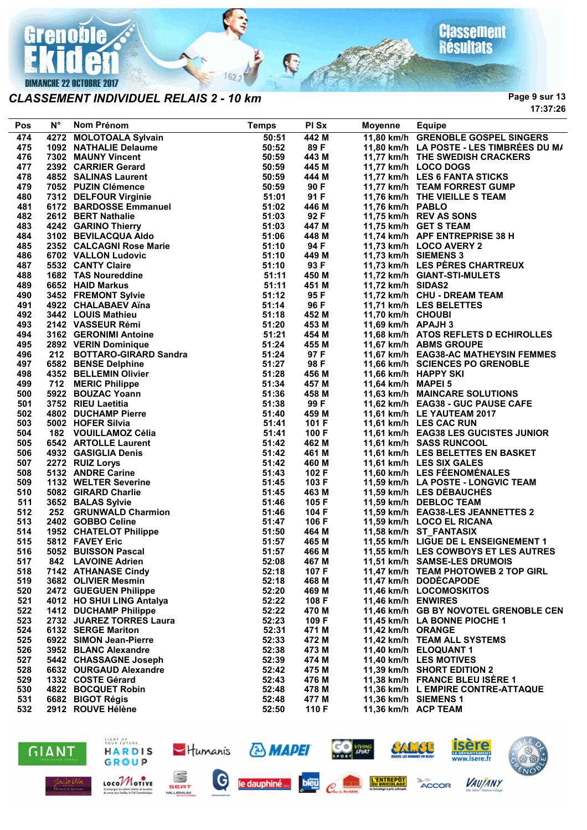

#### *CLASSEMENT INDIVIDUEL RELAIS 2 - 10 km*

**Page 9 sur 13 17:37:26**

| Pos | N° | Nom Prénom                                       | <b>Temps</b> | PI Sx | Moyenne            | <b>Equipe</b>                            |
|-----|----|--------------------------------------------------|--------------|-------|--------------------|------------------------------------------|
| 474 |    | 4272 MOLOTOALA Sylvain                           | 50:51        | 442 M |                    | 11,80 km/h GRENOBLE GOSPEL SINGERS       |
| 475 |    | 1092 NATHALIE Delaume                            | 50:52        | 89 F  |                    | 11,80 km/h LA POSTE - LES TIMBRÉES DU M/ |
| 476 |    | 7302 MAUNY Vincent                               | 50:59        | 443 M |                    | 11,77 km/h THE SWEDISH CRACKERS          |
| 477 |    | 2392 CARRIER Gerard                              | 50:59        | 445 M |                    | 11,77 km/h LOCO DOGS                     |
| 478 |    | 4852 SALINAS Laurent                             | 50:59        | 444 M |                    | 11,77 km/h LES 6 FANTA STICKS            |
| 479 |    | 7052 PUZIN Clémence                              | 50:59        | 90 F  |                    | 11,77 km/h TEAM FORREST GUMP             |
| 480 |    | 7312 DELFOUR Virginie                            | 51:01        | 91 F  |                    | 11,76 km/h THE VIEILLE S TEAM            |
| 481 |    | 6172 BARDOSSE Emmanuel                           | 51:02        | 446 M | 11,76 km/h PABLO   |                                          |
| 482 |    | 2612 BERT Nathalie                               | 51:03        | 92 F  |                    | 11,75 km/h REV AS SONS                   |
| 483 |    | 4242 GARINO Thierry                              | 51:03        | 447 M |                    | 11,75 km/h GET S TEAM                    |
| 484 |    | 3102 BEVILACQUA Aldo                             | 51:06        | 448 M |                    | 11,74 km/h APF ENTREPRISE 38 H           |
| 485 |    | 2352 CALCAGNI Rose Marie                         | 51:10        | 94 F  |                    | 11,73 km/h LOCO AVERY 2                  |
| 486 |    | 6702 VALLON Ludovic                              | 51:10        | 449 M |                    | 11,73 km/h SIEMENS 3                     |
| 487 |    | 5532 CANTY Claire                                | 51:10        | 93 F  |                    | 11,73 km/h LES PÈRES CHARTREUX           |
| 488 |    | 1682 TAS Noureddine                              | 51:11        | 450 M |                    | 11,72 km/h GIANT-STI-MULETS              |
| 489 |    | 6652 HAID Markus                                 | 51:11        | 451 M | 11,72 km/h SIDAS2  |                                          |
| 490 |    | 3452 FREMONT Sylvie                              | 51:12        | 95 F  |                    | 11,72 km/h CHU - DREAM TEAM              |
| 491 |    | 4922 CHALABAEV Aïna                              | 51:14        | 96 F  |                    | 11,71 km/h LES BELETTES                  |
| 492 |    | 3442 LOUIS Mathieu                               | 51:18        | 452 M | 11,70 km/h CHOUBI  |                                          |
| 493 |    | 2142 VASSEUR Rémi                                | 51:20        | 453 M | 11,69 km/h APAJH 3 |                                          |
| 494 |    | 3162 GERONIMI Antoine                            | 51:21        | 454 M |                    | 11,68 km/h ATOS REFLETS D ECHIROLLES     |
| 495 |    | 2892 VERIN Dominique                             | 51:24        | 455 M |                    | 11,67 km/h ABMS GROUPE                   |
| 496 |    | 212 BOTTARO-GIRARD Sandra<br>6582 BENSE Delphine | 51:24        | 97 F  |                    | 11,67 km/h EAG38-AC MATHEYSIN FEMMES     |
| 497 |    | 6582 BENSE Delphine                              | 51:27        | 98 F  |                    | 11,66 km/h SCIENCES PO GRENOBLE          |
| 498 |    | 4352 BELLEMIN Olivier                            | 51:28        | 456 M |                    | 11,66 km/h HAPPY SKI                     |
| 499 |    | 712 MERIC Philippe                               | 51:34        | 457 M | 11,64 km/h MAPEI 5 |                                          |
| 500 |    | 5922 BOUZAC Yoann                                | 51:36        | 458 M |                    | 11,63 km/h MAINCARE SOLUTIONS            |
| 501 |    | 3752 RIEU Laetitia                               | 51:38        | 99 F  |                    | 11,62 km/h EAG38 - GUC PAUSE CAFE        |
| 502 |    | 4802 DUCHAMP Pierre                              | 51:40        | 459 M |                    | 11,61 km/h LE YAUTEAM 2017               |
| 503 |    | 5002 HOFER Silvia                                | 51:41        | 101 F |                    | 11,61 km/h LES CAC RUN                   |
| 504 |    | 182 VOUILLAMOZ Célia                             | 51:41        | 100 F |                    | 11,61 km/h EAG38 LES GUCISTES JUNIOR     |
| 505 |    | 6542 ARTOLLE Laurent                             | 51:42        | 462 M |                    | 11,61 km/h SASS RUNCOOL                  |
| 506 |    | 4932 GASIGLIA Denis                              | 51:42        | 461 M |                    | 11,61 km/h LES BELETTES EN BASKET        |
| 507 |    | 2272 RUIZ Lorys                                  | 51:42        | 460 M |                    | 11,61 km/h LES SIX GALES                 |
| 508 |    | 5132 ANDRE Carine                                | 51:43        | 102 F |                    | 11,60 km/h LES FÉENOMÉNALES              |
| 509 |    | 1132 WELTER Severine                             | 51:45        | 103 F |                    | 11,59 km/h LA POSTE - LONGVIC TEAM       |
| 510 |    | 5082 GIRARD Charlie                              | 51:45        | 463 M |                    | 11,59 km/h LES DÉBAUCHÉS                 |
| 511 |    | 3652 BALAS Sylvie                                | 51:46        | 105 F |                    | 11,59 km/h DEBLOC TEAM                   |
| 512 |    | 252 GRUNWALD Charmion                            | 51:46        | 104 F |                    | 11,59 km/h EAG38-LES JEANNETTES 2        |
| 513 |    | 2402 GOBBO Celine                                | 51:47        | 106 F |                    | 11,59 km/h LOCO EL RICANA                |
| 514 |    | 1952 CHATELOT Philippe                           | 51:50        | 464 M |                    | 11,58 km/h ST_FANTASIX                   |
| 515 |    | 5812 FAVEY Eric                                  | 51:57        | 465 M |                    | 11,55 km/h LIGUE DE L ENSEIGNEMENT 1     |
| 516 |    | 5052 BUISSON Pascal                              | 51:57        | 466 M |                    | 11,55 km/h LES COWBOYS ET LES AUTRES     |
| 517 |    | 842 LAVOINE Adrien                               | 52:08        | 467 M |                    | 11,51 km/h SAMSE-LES DRUMOIS             |
| 518 |    | 7142 ATHANASE Cindy                              | 52:18        | 107 F |                    | 11,47 km/h TEAM PHOTOWEB 2 TOP GIRL      |
| 519 |    | 3682 OLIVIER Mesmin                              | 52:18        | 468 M |                    | 11,47 km/h DODÉCAPODE                    |
| 520 |    | 2472 GUEGUEN Philippe                            | 52:20        | 469 M |                    | 11,46 km/h LOCOMOSKITOS                  |
| 521 |    | 4012 HO SHUI LING Antalya                        | 52:22        | 108 F | 11,46 km/h ENWIRES |                                          |
| 522 |    | <b>1412 DUCHAMP Philippe</b>                     | 52:22        | 470 M |                    | 11,46 km/h GB BY NOVOTEL GRENOBLE CEN    |
| 523 |    | 2732 JUAREZ TORRES Laura                         | 52:23        | 109 F |                    | 11.45 km/h LA BONNE PIOCHE 1             |
| 524 |    | 6132 SERGE Mariton                               | 52:31        | 471 M | 11,42 km/h ORANGE  |                                          |
| 525 |    | 6922 SIMON Jean-Pierre                           | 52:33        | 472 M |                    | 11,42 km/h TEAM ALL SYSTEMS              |
| 526 |    | 3952 BLANC Alexandre                             | 52:38        | 473 M |                    | 11,40 km/h ELOQUANT 1                    |
| 527 |    | 5442 CHASSAGNE Joseph                            | 52:39        | 474 M |                    | 11,40 km/h LES MOTIVES                   |
| 528 |    | 6632 OURGAUD Alexandre                           | 52:42        | 475 M |                    | 11,39 km/h SHORT EDITION 2               |
| 529 |    | 1332 COSTE Gérard                                | 52:43        | 476 M |                    | 11,38 km/h FRANCE BLEU ISERE 1           |
| 530 |    | 4822 BOCQUET Robin                               | 52:48        | 478 M |                    | 11,36 km/h L EMPIRE CONTRE-ATTAQUE       |
| 531 |    | 6682 BIGOT Régis                                 | 52:48        | 477 M |                    | 11,36 km/h SIEMENS 1                     |
| 532 |    | 2912 ROUVE Hélène                                | 52:50        | 110 F |                    | 11,36 km/h ACP TEAM                      |

R

 $162.2$ 





LOCOMOTIVE

Accompagne les solants otteints<br>de concer leurs fomilles, le OKI G















**& MAPEI** 

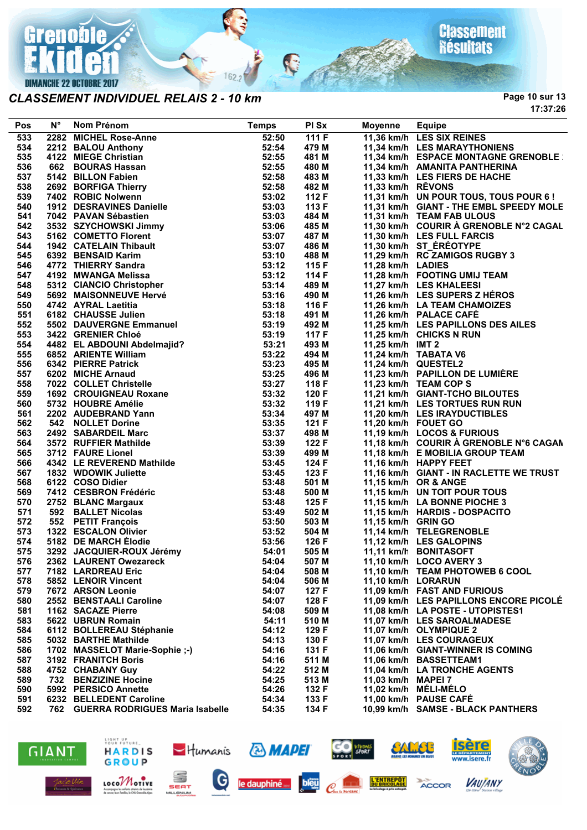

#### *CLASSEMENT INDIVIDUEL RELAIS 2 - 10 km*

**Page 10 sur 13 17:37:26**

| Pos        | $N^{\circ}$ | Nom Prénom                                                                                                                                                                                                                                                                  | <b>Temps</b> | PI Sx          | <b>Moyenne</b>      | Equipe                                                  |
|------------|-------------|-----------------------------------------------------------------------------------------------------------------------------------------------------------------------------------------------------------------------------------------------------------------------------|--------------|----------------|---------------------|---------------------------------------------------------|
| 533        |             | 2282 MICHEL Rose-Anne<br>2282 MICHEL Rose-Anne<br>2212 BALOU Anthony<br>4122 MIEGE Christian<br>662 BOURAS Hassan<br>5142 BILLON Fabien<br>2692 BORFIGA Thierry<br>7402 ROBIC Nolwenn<br>7402 ROBIC Nolwenn<br>7402 PAVAN Sébastien<br>7042 PAVAN Sébastien<br>3532 SZYCHOW | 52:50        | 111 F          |                     | 11,36 km/h LES SIX REINES                               |
| 534        |             |                                                                                                                                                                                                                                                                             | 52:54        | 479 M          |                     | 11,34 km/h LES MARAYTHONIENS                            |
| 535        |             |                                                                                                                                                                                                                                                                             | 52:55        | 481 M          |                     | 11,34 km/h ESPACE MONTAGNE GRENOBLE                     |
| 536        |             |                                                                                                                                                                                                                                                                             | 52:55        | 480 M          |                     | 11,34 km/h AMANITA PANTHERINA                           |
| 537        |             |                                                                                                                                                                                                                                                                             | 52:58        | 483 M          |                     | 11,33 km/h LES FIERS DE HACHE                           |
| 538        |             |                                                                                                                                                                                                                                                                             | 52:58        | 482 M          | 11,33 km/h RÊVONS   |                                                         |
| 539        |             |                                                                                                                                                                                                                                                                             | 53:02        | 112 F          |                     | 11,31 km/h UN POUR TOUS, TOUS POUR 6 !                  |
| 540        |             |                                                                                                                                                                                                                                                                             | 53:03        | 113 F          |                     | 11,31 km/h GIANT - THE EMBL SPEEDY MOLE                 |
| 541        |             |                                                                                                                                                                                                                                                                             | 53:03        | 484 M          |                     | 11,31 km/h TEAM FAB ULOUS                               |
| 542        |             |                                                                                                                                                                                                                                                                             | 53:06        | 485 M          |                     | 11,30 km/h COURIR À GRENOBLE N°2 CAGAL                  |
| 543        |             |                                                                                                                                                                                                                                                                             | 53:07        | 487 M          |                     | 11,30 km/h LES FULL FARCIS                              |
| 544        |             |                                                                                                                                                                                                                                                                             | 53:07        | 486 M          |                     | 11,30 km/h ST_ÉRÉOTYPE                                  |
| 545        |             |                                                                                                                                                                                                                                                                             | 53:10        | 488 M          |                     | 11,29 km/h RC ZAMIGOS RUGBY 3                           |
| 546        |             |                                                                                                                                                                                                                                                                             | 53:12        | 115 F          | 11,28 km/h LADIES   |                                                         |
| 547        |             |                                                                                                                                                                                                                                                                             | 53:12        | 114 F          |                     | 11,28 km/h FOOTING UMIJ TEAM                            |
| 548        |             |                                                                                                                                                                                                                                                                             | 53:14        | 489 M          |                     | 11,27 km/h LES KHALEESI                                 |
| 549        |             |                                                                                                                                                                                                                                                                             | 53:16        | 490 M          |                     | 11,26 km/h LES SUPERS Z HÉROS                           |
| 550        |             |                                                                                                                                                                                                                                                                             | 53:18        | 116 F          |                     | 11,26 km/h LA TEAM CHAMOIZES                            |
| 551        |             |                                                                                                                                                                                                                                                                             | 53:18        | 491 M          |                     | 11,26 km/h PALACE CAFE                                  |
| 552        |             |                                                                                                                                                                                                                                                                             |              | 492 M          |                     | 11,25 km/h LES PAPILLONS DES AILES                      |
| 553        |             |                                                                                                                                                                                                                                                                             |              | 117 F          |                     | 11,25 km/h CHICKS N RUN                                 |
| 554        |             |                                                                                                                                                                                                                                                                             |              | 493 M          | 11,25 km/h IMT 2    |                                                         |
| 555        |             |                                                                                                                                                                                                                                                                             |              | 494 M          |                     | 11,24 km/h TABATA V6                                    |
| 556        |             |                                                                                                                                                                                                                                                                             |              | 495 M          |                     | 11,24 km/h QUESTEL2                                     |
| 557        |             |                                                                                                                                                                                                                                                                             |              | 496 M          |                     | 11,23 km/h PAPILLON DE LUMIÈRE                          |
|            |             | 6182 CHAUSSE Julien<br>5502 DAUVERGNE Emmanuel<br>3422 GRENIER Chloé<br>4482 EL ABDOUNI Abdelmajid?<br>4482 EL ABDOUNI Abdelmajid?<br>63:21<br>63652 ARIENTE William<br>63:22<br>6342 PIERRE Patrick<br>6322 COLLET Christelle<br>7022 COLLET Chri                          |              |                |                     |                                                         |
| 558<br>559 |             |                                                                                                                                                                                                                                                                             |              | 118 F<br>120 F |                     | 11,23 km/h TEAM COP S<br>11,21 km/h GIANT-TCHO BILOUTES |
|            |             |                                                                                                                                                                                                                                                                             |              | 119 F          |                     |                                                         |
| 560        |             |                                                                                                                                                                                                                                                                             |              |                |                     | 11,21 km/h LES TORTUES RUN RUN                          |
| 561        |             |                                                                                                                                                                                                                                                                             |              | 497 M          |                     | 11,20 km/h LES IRAYDUCTIBLES                            |
| 562        |             |                                                                                                                                                                                                                                                                             |              | 121 F          | 11,20 km/h FOUET GO |                                                         |
| 563        |             |                                                                                                                                                                                                                                                                             |              | 498 M          |                     | 11,19 km/h LOCOS & FURIOUS                              |
| 564        |             |                                                                                                                                                                                                                                                                             |              | 122 F          |                     | 11,18 km/h COURIR À GRENOBLE N°6 CAGAN                  |
| 565        |             |                                                                                                                                                                                                                                                                             |              | 499 M          |                     | 11,18 km/h E MOBILIA GROUP TEAM                         |
| 566        |             | 4342 LE REVEREND Mathilde                                                                                                                                                                                                                                                   |              | 124 F          |                     | 11,16 km/h HAPPY FEET                                   |
| 567        |             | 1832 WDOWIK Juliette                                                                                                                                                                                                                                                        |              | 123 F          |                     | 11,16 km/h GIANT - IN RACLETTE WE TRUST                 |
| 568        |             | 6122 COSO Didier                                                                                                                                                                                                                                                            |              | 501 M          |                     | 11,15 km/h OR & ANGE                                    |
| 569        |             | 7412 CESBRON Frédéric                                                                                                                                                                                                                                                       |              | 500 M          |                     | 11,15 km/h UN TOIT POUR TOUS                            |
| 570        |             | 2752 BLANC Margaux                                                                                                                                                                                                                                                          |              | 125 F          |                     | 11,15 km/h LA BONNE PIOCHE 3                            |
| 571        |             | 592 BALLET Nicolas                                                                                                                                                                                                                                                          |              | 502 M          |                     | 11,15 km/h HARDIS - DOSPACITO                           |
| 572        |             | $\begin{array}{r} 53 \\ 53 \\ 53 \\ 53 \\ 53 \\ 53 \\ 53 \\ 53 \\ 53 \\ 4 \\ 53 \\ 4 \\ 53 \\ 4 \\ 53 \\ 53 \\ 53 \\ 50 \\ 53 \\ 50 \\ 53 \\ 52 \\ \mathrm{my} \\ 54 \\ 01 \\ \end{array}$<br>552 PETIT François                                                            |              | 503 M          | 11,15 km/h GRIN GO  |                                                         |
| 573        |             | 1322 ESCALON Olivier                                                                                                                                                                                                                                                        |              | 504 M          |                     | 11,14 km/h TELEGRENOBLE                                 |
| 574        |             | 5182 DE MARCH Elodie                                                                                                                                                                                                                                                        |              | 126 F          |                     | 11,12 km/h LES GALOPINS                                 |
| 575        |             | 3292 JACQUIER-ROUX Jérémy                                                                                                                                                                                                                                                   |              | 505 M          |                     | 11,11 km/h BONITASOFT                                   |
| 576        |             | 2362 LAURENT Owezareck                                                                                                                                                                                                                                                      | 54:04        | 507 M          |                     | 11,10 km/h LOCO AVERY 3                                 |
| 577        |             | 7182 LARDREAU Eric                                                                                                                                                                                                                                                          | 54:04        | 508 M          |                     | 11,10 km/h TEAM PHOTOWEB 6 COOL                         |
| 578        |             | 5852 LENOIR Vincent                                                                                                                                                                                                                                                         | 54:04        | 506 M          | 11,10 km/h LORARUN  |                                                         |
| 579        |             | 7672 ARSON Leonie                                                                                                                                                                                                                                                           | 54:07        | 127 F          |                     | 11,09 km/h FAST AND FURIOUS                             |
| 580        |             | 2552 BENSTAALI Caroline                                                                                                                                                                                                                                                     | 54:07        | 128 F          |                     | 11.09 km/h LES PAPILLONS ENCORE PICOLÉ                  |
| 581        |             | 1162 SACAZE Pierre                                                                                                                                                                                                                                                          | 54:08        | 509 M          |                     | 11.08 km/h LA POSTE - UTOPISTES1                        |
| 583        |             | 5622 UBRUN Romain                                                                                                                                                                                                                                                           | 54:11        | 510 M          |                     | 11,07 km/h LES SAROALMADESE                             |
| 584        |             | 6112 BOLLEREAU Stéphanie                                                                                                                                                                                                                                                    | 54:12        | 129 F          |                     | 11,07 km/h OLYMPIQUE 2                                  |
| 585        |             | 5032 BARTHE Mathilde                                                                                                                                                                                                                                                        | 54:13        | 130 F          |                     | 11,07 km/h LES COURAGEUX                                |
| 586        |             | 1702 MASSELOT Marie-Sophie ;-)                                                                                                                                                                                                                                              | 54:16        | 131 F          |                     | 11,06 km/h GIANT-WINNER IS COMING                       |
| 587        |             | 3192 FRANITCH Boris                                                                                                                                                                                                                                                         | 54:16        | 511 M          |                     | 11,06 km/h BASSETTEAM1                                  |
| 588        |             | 4752 CHABANY Guy                                                                                                                                                                                                                                                            | 54:22        | 512 M          |                     | 11,04 km/h LA TRONCHE AGENTS                            |
| 589        |             | 732 BENZIZINE Hocine                                                                                                                                                                                                                                                        | 54:25        | 513 M          | 11,03 km/h MAPEI 7  |                                                         |
| 590        |             | 5992 PERSICO Annette                                                                                                                                                                                                                                                        | 54:26        | 132 F          |                     | 11,02 km/h MÉLI-MÉLO                                    |
| 591        |             | 6232 BELLEDENT Caroline                                                                                                                                                                                                                                                     | 54:34        | 133 F          |                     | 11,00 km/h PAUSE CAFE                                   |
| 592        |             | 762 GUERRA RODRIGUES Maria Isabelle                                                                                                                                                                                                                                         | 54:35        | 134 F          |                     | 10,99 km/h SAMSE - BLACK PANTHERS                       |

C

 $162:$ 





SEAT

MILLENIUM

LOCOMOTIVE

les enfants otteint<br>s fomilles le CHU O



**& MAPEI** 





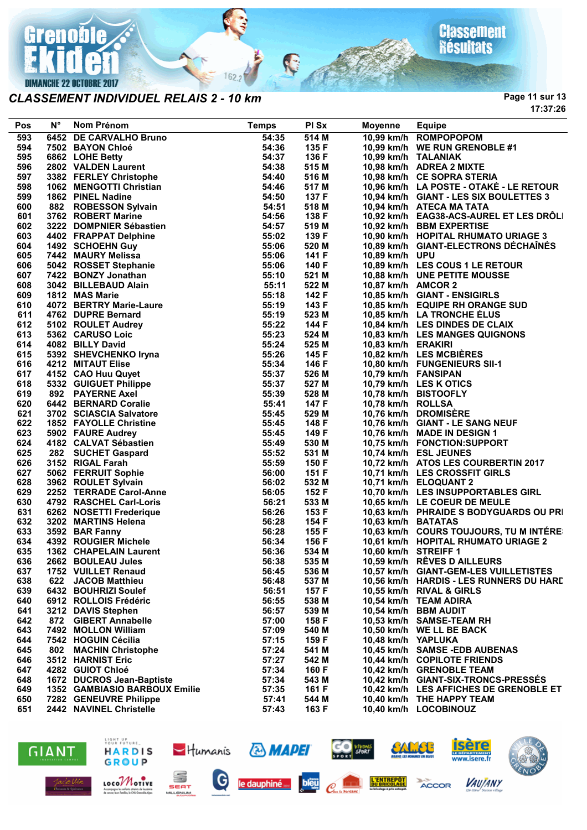

#### *CLASSEMENT INDIVIDUEL RELAIS 2 - 10 km*

**Page 11 sur 13 17:37:26**

| Pos | $N^{\circ}$ | Nom Prénom                                                                                                    | <b>Temps</b> | PI Sx | Moyenne              | <b>Equipe</b>                           |
|-----|-------------|---------------------------------------------------------------------------------------------------------------|--------------|-------|----------------------|-----------------------------------------|
| 593 |             | 6452 DE CARVALHO Bruno                                                                                        | 54:35        | 514 M |                      | 10,99 km/h ROMPOPOPOM                   |
| 594 |             | 7502 BAYON Chloé                                                                                              | 54:36        | 135 F |                      | 10,99 km/h WE RUN GRENOBLE #1           |
| 595 |             | 6862 LOHE Betty                                                                                               | 54:37        | 136 F |                      | 10,99 km/h TALANIAK                     |
| 596 |             | 2802 VALDEN Laurent                                                                                           | 54:38        | 515 M |                      | 10,98 km/h ADREA 2 MIXTE                |
| 597 |             | 3382 FERLEY Christophe                                                                                        | 54:40        | 516 M |                      | 10,98 km/h CE SOPRA STERIA              |
| 598 |             | 1062 MENGOTTI Christian                                                                                       | 54:46        | 517 M |                      | 10,96 km/h LA POSTE - OTAKE - LE RETOUR |
| 599 |             | 1862 PINEL Nadine                                                                                             | 54:50        | 137 F |                      | 10,94 km/h GIANT - LES SIX BOULETTES 3  |
| 600 |             | 882 ROBESSON Sylvain                                                                                          | 54:51        | 518 M |                      | 10,94 km/h ATECA MA TATA                |
| 601 |             | 3762 ROBERT Marine                                                                                            | 54:56        | 138 F |                      | 10,92 km/h EAG38-ACS-AUREL ET LES DRÔLI |
| 602 |             | 3222 DOMPNIER Sébastien                                                                                       | 54:57        | 519 M |                      | 10,92 km/h BBM EXPERTISE                |
| 603 |             | 4402 FRAPPAT Delphine                                                                                         | 55:02        | 139 F |                      | 10,90 km/h HOPITAL RHUMATO URIAGE 3     |
| 604 |             | 1492 SCHOEHN Guy                                                                                              | 55:06        | 520 M |                      | 10,89 km/h GIANT-ELECTRONS DECHAINES    |
| 605 |             | 7442 MAURY Melissa                                                                                            | 55:06        | 141 F | 10,89 km/h UPU       |                                         |
| 606 |             | 5042 ROSSET Stephanie                                                                                         | 55:06        | 140 F |                      | 10,89 km/h LES COUS 1 LE RETOUR         |
| 607 |             | 7422 BONZY Jonathan                                                                                           | 55:10        | 521 M |                      | 10,88 km/h UNE PETITE MOUSSE            |
| 608 |             | 3042 BILLEBAUD Alain                                                                                          | 55:11        | 522 M | 10,87 km/h AMCOR 2   |                                         |
| 609 |             | 1812 MAS Marie                                                                                                | 55:18        | 142 F |                      | 10,85 km/h GIANT - ENSIGIRLS            |
| 610 |             | 4072 BERTRY Marie-Laure                                                                                       | 55:19        | 143 F |                      | 10,85 km/h EQUIPE RH ORANGE SUD         |
| 611 |             | 4762 DUPRE Bernard                                                                                            | 55:19        | 523 M |                      | 10,85 km/h LA TRONCHE ÉLUS              |
| 612 |             | 5102 ROULET Audrey                                                                                            | 55:22        | 144 F |                      | 10,84 km/h LES DINDES DE CLAIX          |
| 613 |             | 5362 CARUSO Loic                                                                                              | 55:23        | 524 M |                      | 10,83 km/h LES MANGES QUIGNONS          |
| 614 |             | 4082 BILLY David                                                                                              | 55:24        | 525 M | 10,83 km/h ERAKIRI   |                                         |
| 615 |             | 4082 BILLY David<br>5392 SHEVCHENKO Iryna<br>4212 MITAUT Elise<br>4152 CAO Huu Quyet<br>5332 GUIGUET Philippe | 55:26        | 145 F |                      | 10,82 km/h LES MCBIÈRES                 |
| 616 |             |                                                                                                               | 55:34        | 146 F |                      | 10,80 km/h FUNGENIEURS SII-1            |
| 617 |             |                                                                                                               | 55:37        | 526 M |                      | 10,79 km/h FANSIPAN                     |
| 618 |             |                                                                                                               | 55:37        | 527 M |                      | 10,79 km/h LES K OTICS                  |
| 619 |             | 892 PAYERNE Axel                                                                                              | 55:39        | 528 M |                      | 10,78 km/h BISTOOFLY                    |
| 620 |             | 6442 BERNARD Coralie                                                                                          | 55:41        | 147 F | 10,78 km/h ROLLSA    |                                         |
| 621 |             | 3702 SCIASCIA Salvatore                                                                                       | 55:45        | 529 M |                      | 10,76 km/h DROMISÈRE                    |
| 622 |             | 1852 FAYOLLE Christine                                                                                        | 55:45        | 148 F |                      | 10,76 km/h GIANT - LE SANG NEUF         |
| 623 |             | 5902 FAURE Audrey                                                                                             | 55:45        | 149 F |                      | 10,76 km/h MADE IN DESIGN 1             |
| 624 |             | 4182 CALVAT Sébastien                                                                                         | 55:49        | 530 M |                      | 10,75 km/h FONCTION:SUPPORT             |
| 625 |             | 282 SUCHET Gaspard                                                                                            | 55:52        | 531 M |                      | 10,74 km/h ESL JEUNES                   |
| 626 |             | 3152 RIGAL Farah                                                                                              | 55:59        | 150 F |                      | 10,72 km/h ATOS LES COURBERTIN 2017     |
| 627 |             | 5062 FERRUIT Sophie                                                                                           | 56:00        | 151 F |                      | 10,71 km/h LES CROSSFIT GIRLS           |
| 628 |             | 3962 ROULET Sylvain                                                                                           | 56:02        | 532 M |                      | 10,71 km/h ELOQUANT 2                   |
| 629 |             | 2252 TERRADE Carol-Anne                                                                                       | 56:05        | 152 F |                      | 10,70 km/h LES INSUPPORTABLES GIRL      |
| 630 |             | 4792 RASCHEL Carl-Loris                                                                                       | 56:21        | 533 M |                      | 10,65 km/h LE COEUR DE MEULE            |
| 631 |             | 6262 NOSETTI Frederique                                                                                       | 56:26        | 153 F |                      | 10,63 km/h PHRAIDE S BODYGUARDS OU PRI  |
| 632 |             | 3202 MARTINS Helena                                                                                           | 56:28        | 154 F | 10,63 km/h BATATAS   |                                         |
| 633 |             | 3592 BAR Fanny                                                                                                | 56:28        | 155 F |                      | 10,63 km/h COURS TOUJOURS, TU M INTÉRE  |
| 634 |             | 4392 ROUGIER Michele                                                                                          | 56:34        | 156 F |                      | 10,61 km/h HOPITAL RHUMATO URIAGE 2     |
| 635 |             | 1362 CHAPELAIN Laurent                                                                                        | 56:36        | 534 M | 10,60 km/h STREIFF 1 |                                         |
| 636 |             | 2662 BOULEAU Jules                                                                                            | 56:38        | 535 M |                      | 10,59 km/h RÊVES D AILLEURS             |
| 637 |             | 1752 VUILLET Renaud                                                                                           | 56:45        | 536 M |                      | 10,57 km/h GIANT-GEM-LES VUILLETISTES   |
| 638 |             | 622 JACOB Matthieu                                                                                            | 56:48        | 537 M |                      | 10,56 km/h HARDIS - LES RUNNERS DU HARD |
| 639 |             | 6432 BOUHRIZI Soulef                                                                                          | 56:51        | 157 F |                      | 10,55 km/h RIVAL & GIRLS                |
| 640 |             | 6912 ROLLOIS Frédéric                                                                                         | 56:55        | 538 M |                      | 10,54 km/h TEAM ADIRA                   |
| 641 |             | 3212 DAVIS Stephen                                                                                            | 56:57        | 539 M |                      | 10,54 km/h BBM AUDIT                    |
| 642 |             | 872 GIBERT Annabelle                                                                                          | 57:00        | 158 F |                      | 10,53 km/h SAMSE-TEAM RH                |
| 643 |             | 7492 MOLLON William                                                                                           | 57:09        | 540 M |                      | 10,50 km/h WE LL BE BACK                |
| 644 |             | 7542 HOGUIN Cécilia                                                                                           | 57:15        | 159 F | 10.48 km/h YAPLUKA   |                                         |
| 645 |             | 802 MACHIN Christophe                                                                                         | 57:24        | 541 M |                      | 10,45 km/h SAMSE-EDB AUBENAS            |
| 646 |             | 3512 HARNIST Eric                                                                                             | 57:27        | 542 M |                      | 10,44 km/h COPILOTE FRIENDS             |
| 647 |             | 4282 GUIOT Chloé                                                                                              | 57:34        | 160 F |                      | 10,42 km/h GRENOBLE TEAM                |
| 648 |             | 1672 DUCROS Jean-Baptiste                                                                                     | 57:34        | 543 M |                      | 10,42 km/h GIANT-SIX-TRONCS-PRESSES     |
| 649 |             | 1352 GAMBIASIO BARBOUX Emilie                                                                                 | 57:35        | 161 F |                      | 10,42 km/h LES AFFICHES DE GRENOBLE ET  |
| 650 |             | 7282 GENEUVRE Philippe                                                                                        | 57:41        | 544 M |                      | 10,40 km/h THE HAPPY TEAM               |
| 651 |             | 2442 NAVINEL Christelle                                                                                       | 57:43        | 163 F |                      | 10,40 km/h LOCOBINOUZ                   |

Ç

 $162.2$ 





SEAT

**MILLENIUM** 

LOCOMOTIVE

Accompagne les solarits atteints de leucérise<br>de concer leurs fomilies, le CHU Grenoble-Aloen



**& MAPEI** 





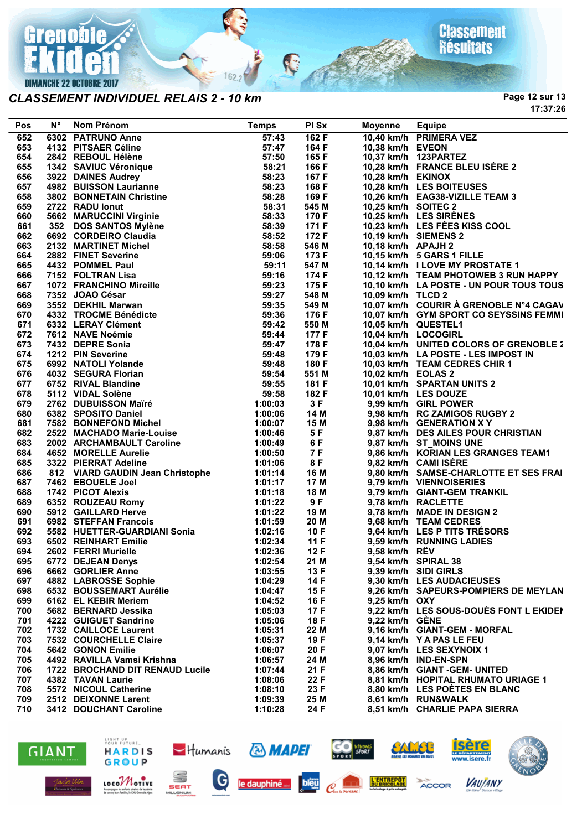

#### *CLASSEMENT INDIVIDUEL RELAIS 2 - 10 km*

**Page 12 sur 13 17:37:26**

| Pos        | N° | Nom Prénom                                                                                                                                                                                                                                                              | <b>Temps</b>       | PI Sx             | Moyenne             | <b>Equipe</b>                                                  |
|------------|----|-------------------------------------------------------------------------------------------------------------------------------------------------------------------------------------------------------------------------------------------------------------------------|--------------------|-------------------|---------------------|----------------------------------------------------------------|
| 652        |    | 6302 PATRUNO Anne<br>Notini Freinin<br>6302 PATRUNO Anne<br>4132 PITSAER Céline<br>2842 REBOUL Hélène<br>322 BANUC Véronique<br>322 BANUC Véronique<br>4982 BUISSON Laurianne<br>4982 BUISSON Laurianne<br>4722 RADU Ionut<br>5662 MARUCCINI Virginie<br>2722 RADU Ionu | 57:43              | 162 F             |                     | 10,40 km/h PRIMERA VEZ                                         |
| 653        |    |                                                                                                                                                                                                                                                                         | 57:47              | 164 F             | 10,38 km/h EVEON    |                                                                |
| 654        |    |                                                                                                                                                                                                                                                                         | 57:50              | 165 F             |                     | 10,37 km/h 123PARTEZ                                           |
| 655        |    |                                                                                                                                                                                                                                                                         | 58:21              | 166 F             |                     | 10,28 km/h FRANCE BLEU ISÈRE 2                                 |
| 656        |    |                                                                                                                                                                                                                                                                         | 58:23              | 167 F             | 10,28 km/h EKINOX   |                                                                |
| 657        |    |                                                                                                                                                                                                                                                                         | 58:23              | 168 F             |                     | 10,28 km/h LES BOITEUSES                                       |
| 658        |    |                                                                                                                                                                                                                                                                         | 58:28              | 169 F             |                     | 10,26 km/h EAG38-VIZILLE TEAM 3                                |
| 659        |    |                                                                                                                                                                                                                                                                         | 58:31              | 545 M             | 10,25 km/h SOITEC 2 |                                                                |
| 660        |    |                                                                                                                                                                                                                                                                         | 58:33              | 170 F             |                     | 10,25 km/h LES SIRÈNES                                         |
| 661        |    |                                                                                                                                                                                                                                                                         | 58:39              | 171 F             |                     | 10,23 km/h LES FÉES KISS COOL                                  |
| 662        |    |                                                                                                                                                                                                                                                                         | 58:52              | 172 F             |                     | 10,19 km/h SIEMENS 2                                           |
| 663        |    |                                                                                                                                                                                                                                                                         | 58:58              | 546 M             | 10,18 km/h APAJH 2  |                                                                |
| 664        |    |                                                                                                                                                                                                                                                                         | 59:06              | 173 F             |                     | 10,15 km/h 5 GARS 1 FILLE                                      |
| 665        |    |                                                                                                                                                                                                                                                                         | 59:11              | 547 M             |                     | 10,14 km/h I LOVE MY PROSTATE 1                                |
| 666        |    |                                                                                                                                                                                                                                                                         | 59:16              | 174 F             |                     | 10,12 km/h TEAM PHOTOWEB 3 RUN HAPPY                           |
| 667        |    |                                                                                                                                                                                                                                                                         | 59:23              | 175 F             |                     | 10,10 km/h LA POSTE - UN POUR TOUS TOUS                        |
| 668        |    |                                                                                                                                                                                                                                                                         | 59:27              | 548 M             | 10,09 km/h TLCD 2   |                                                                |
| 669        |    |                                                                                                                                                                                                                                                                         | 59:35              | 549 M             |                     | 10,07 km/h COURIR À GRENOBLE N°4 CAGAV                         |
| 670        |    |                                                                                                                                                                                                                                                                         | 59:36              | 176 F             |                     | 10,07 km/h GYM SPORT CO SEYSSINS FEMMI                         |
| 671        |    |                                                                                                                                                                                                                                                                         | 59:42              | 550 M             |                     | 10,05 km/h QUESTEL1                                            |
| 672        |    |                                                                                                                                                                                                                                                                         | 59:44              | 177 F             | 10,04 km/h LOCOGIRL |                                                                |
| 673        |    |                                                                                                                                                                                                                                                                         | 59:47              | 178 F             |                     | 10,04 km/h UNITED COLORS OF GRENOBLE 2                         |
| 674        |    |                                                                                                                                                                                                                                                                         | 59:48              | 179 F             |                     | 10,03 km/h LA POSTE - LES IMPOST IN                            |
| 675        |    |                                                                                                                                                                                                                                                                         | 59:48              | 180 F             |                     | 10,03 km/h TEAM CEDRES CHIR 1                                  |
| 676        |    |                                                                                                                                                                                                                                                                         | 59:54              | 551 M             | 10,02 km/h EOLAS 2  |                                                                |
| 677        |    |                                                                                                                                                                                                                                                                         | 59:55              | 181 F             |                     | 10,01 km/h SPARTAN UNITS 2                                     |
| 678        |    |                                                                                                                                                                                                                                                                         | 59:58              | 182 F             |                     | 10,01 km/h LES DOUZE                                           |
| 679        |    |                                                                                                                                                                                                                                                                         | 1:00:03            | 3F                |                     | 9,99 km/h GIRL POWER                                           |
| 680        |    |                                                                                                                                                                                                                                                                         | 1:00:06<br>1:00:07 | 14 M              |                     | 9,98 km/h RC ZAMIGOS RUGBY 2                                   |
| 681        |    | 2522 MACHADO Marie-Louise                                                                                                                                                                                                                                               |                    | 15 M<br>5 F       |                     | 9,98 km/h GENERATION X Y<br>9,87 km/h DES AILES POUR CHRISTIAN |
| 682<br>683 |    |                                                                                                                                                                                                                                                                         | 1:00:46            |                   |                     |                                                                |
| 684        |    | 2002 ARCHAMBAULT Caroline<br>4652 MORELLE Aurelie<br>3322 PIFRRAT Adeline                                                                                                                                                                                               | 1:00:49<br>1:00:50 | 6 F<br>7 F<br>8 F |                     | 9,87 km/h ST_MOINS UNE<br>9,86 km/h KORIAN LES GRANGES TEAM1   |
| 685        |    | 3322 PIERRAT Adeline                                                                                                                                                                                                                                                    | 1:01:06            |                   |                     | 9,82 km/h CAMI ISERE                                           |
| 686        |    | 812 VIARD GAUDIN Jean Christophe                                                                                                                                                                                                                                        | 1:01:14            | 16 M              |                     | 9,80 km/h SAMSE-CHARLOTTE ET SES FRAI                          |
| 687        |    | 7462 EBOUELE Joel                                                                                                                                                                                                                                                       | 1:01:17            | 17 M              |                     | 9,79 km/h VIENNOISERIES                                        |
| 688        |    | 1742 PICOT Alexis                                                                                                                                                                                                                                                       | 1:01:18            | 18 M              |                     | 9,79 km/h GIANT-GEM TRANKIL                                    |
| 689        |    |                                                                                                                                                                                                                                                                         | 1:01:22            | 9F                |                     | 9,78 km/h RACLETTE                                             |
| 690        |    | <b>6352 ROUZEAU Romy<br/>5912 GAILLARD Herve<br/>6982 STEFFAN Francois</b>                                                                                                                                                                                              | 1:01:22            | 19 M              |                     | 9,78 km/h MADE IN DESIGN 2                                     |
| 691        |    |                                                                                                                                                                                                                                                                         | 1:01:59            | 20 M              |                     | 9,68 km/h TEAM CEDRES                                          |
| 692        |    |                                                                                                                                                                                                                                                                         | 1:02:16            | 10F               |                     | 9,64 km/h LES P TITS TRÉSORS                                   |
| 693        |    |                                                                                                                                                                                                                                                                         | 1:02:34            | 11F               |                     | 9,59 km/h RUNNING LADIES                                       |
| 694        |    | 5582 HUETTER-GUARDIANI Sonia<br>6502 REINHART Emilie<br>2602 FERRI Murielle<br>6772 DEJEAN Denys                                                                                                                                                                        | 1:02:36            | 12F               | 9,58 km/h RËV       |                                                                |
| 695        |    | 6772 DEJEAN Denys                                                                                                                                                                                                                                                       | 1:02:54            | 21 M              |                     | 9,54 km/h SPIRAL 38                                            |
| 696        |    | 6662 GORLIER Anne                                                                                                                                                                                                                                                       | 1:03:55            | 13 F              |                     | 9,39 km/h SIDI GIRLS                                           |
| 697        |    | 4882 LABROSSE Sophie                                                                                                                                                                                                                                                    | 1:04:29            | 14 F              |                     | 9,30 km/h LES AUDACIEUSES                                      |
| 698        |    | 6532 BOUSSEMART Aurélie                                                                                                                                                                                                                                                 | 1:04:47            | 15 F              |                     | 9.26 km/h SAPEURS-POMPIERS DE MEYLAN                           |
| 699        |    | 6162 EL KEBIR Meriem                                                                                                                                                                                                                                                    | 1:04:52            | 16 F              | $9,25$ km/h $OXY$   |                                                                |
| 700        |    | 5682 BERNARD Jessika                                                                                                                                                                                                                                                    | 1:05:03            | 17 F              |                     | 9,22 km/h LES SOUS-DOUÉS FONT L EKIDEI                         |
| 701        |    | 4222 GUIGUET Sandrine                                                                                                                                                                                                                                                   | 1:05:06            | 18 F              | 9,22 km/h GENE      |                                                                |
| 702        |    | 1732 CAILLOCE Laurent                                                                                                                                                                                                                                                   | 1:05:31            | 22 M              |                     | 9,16 km/h GIANT-GEM - MORFAL                                   |
| 703        |    | 7532 COURCHELLE Claire                                                                                                                                                                                                                                                  | 1:05:37            | 19 F              |                     | 9,14 km/h Y A PAS LE FEU                                       |
| 704        |    | 5642 GONON Emilie                                                                                                                                                                                                                                                       | 1:06:07            | 20 F              |                     | 9.07 km/h LES SEXYNOIX 1                                       |
| 705        |    | 4492 RAVILLA Vamsi Krishna                                                                                                                                                                                                                                              | 1:06:57            | 24 M              |                     | 8,96 km/h IND-EN-SPN                                           |
| 706        |    | 1722 BROCHAND DIT RENAUD Lucile                                                                                                                                                                                                                                         | 1:07:44            | 21 F              |                     | 8,86 km/h GIANT -GEM- UNITED                                   |
| 707        |    | 4382 TAVAN Laurie                                                                                                                                                                                                                                                       | 1:08:06            | 22 F              |                     | 8,81 km/h HOPITAL RHUMATO URIAGE 1                             |
| 708        |    | 5572 NICOUL Catherine                                                                                                                                                                                                                                                   | 1:08:10            | 23 F              |                     | 8,80 km/h LES POETES EN BLANC                                  |
| 709        |    | 2512 DEIXONNE Larent                                                                                                                                                                                                                                                    | 1:09:39            | 25 M              |                     | 8,61 km/h RUN&WALK                                             |
| 710        |    | 3412 DOUCHANT Caroline                                                                                                                                                                                                                                                  | 1:10:28            | 24 F              |                     | 8,51 km/h CHARLIE PAPA SIERRA                                  |
|            |    |                                                                                                                                                                                                                                                                         |                    |                   |                     |                                                                |

R

 $162.2$ 





LOCOMOTIVE

Accompagne les solants otteints<br>de concer leurs fomilles, le OKI G



**& MAPEI** 

bleu

 $-Humanis$ 

SEAT

MILLENIUM